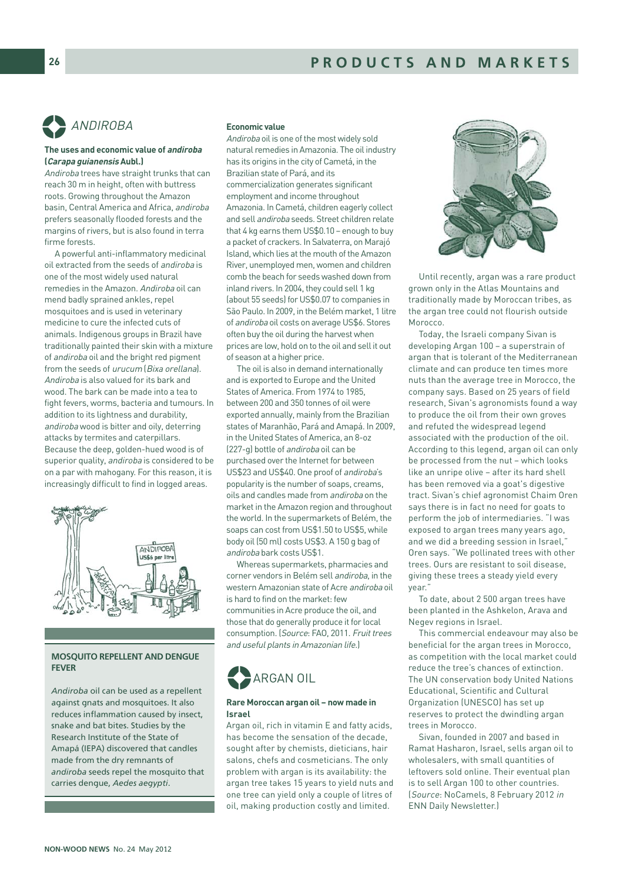

# **The uses and economic value of andiroba (Carapa guianensis Aubl.)**

Andiroba trees have straight trunks that can reach 30 m in height, often with buttress roots. Growing throughout the Amazon basin, Central America and Africa, andiroba prefers seasonally flooded forests and the margins of rivers, but is also found in terra firme forests.

A powerful anti-inflammatory medicinal oil extracted from the seeds of andiroba is one of the most widely used natural remedies in the Amazon. Andiroba oil can mend badly sprained ankles, repel mosquitoes and is used in veterinary medicine to cure the infected cuts of animals. Indigenous groups in Brazil have traditionally painted their skin with a mixture of andiroba oil and the bright red pigment from the seeds of urucum (Bixa orellana). Andiroba is also valued for its bark and wood. The bark can be made into a tea to fight fevers, worms, bacteria and tumours. In addition to its lightness and durability, andiroba wood is bitter and oily, deterring attacks by termites and caterpillars. Because the deep, golden-hued wood is of superior quality, andiroba is considered to be on a par with mahogany. For this reason, it is increasingly difficult to find in logged areas.



# MOSQUITO REPELLENT AND DENGUE FEVER

*Andiroba* oil can be used as a repellent against gnats and mosquitoes. It also reduces inflammation caused by insect, snake and bat bites. Studies by the Research Institute of the State of Amapá (IEPA) discovered that candles made from the dry remnants of *andiroba* seeds repel the mosquito that carries dengue, *Aedes aegypti*.

# **Economic value**

Andiroba oil is one of the most widely sold natural remedies in Amazonia. The oil industry has its origins in the city of Cametá, in the Brazilian state of Pará, and its commercialization generates significant employment and income throughout Amazonia. In Cametá, children eagerly collect and sell andiroba seeds. Street children relate that 4 kg earns them US\$0.10 – enough to buy a packet of crackers. In Salvaterra, on Marajó Island, which lies at the mouth of the Amazon River, unemployed men, women and children comb the beach for seeds washed down from inland rivers. In 2004, they could sell 1 kg (about 55 seeds) for US\$0.07 to companies in São Paulo. In 2009, in the Belém market, 1 litre of andiroba oil costs on average US\$6. Stores often buy the oil during the harvest when prices are low, hold on to the oil and sell it out of season at a higher price.

The oil is also in demand internationally and is exported to Europe and the United States of America. From 1974 to 1985, between 200 and 350 tonnes of oil were exported annually, mainly from the Brazilian states of Maranhão, Pará and Amapá. In 2009, in the United States of America, an 8-oz (227-g) bottle of andiroba oil can be purchased over the Internet for between US\$23 and US\$40. One proof of andiroba's popularity is the number of soaps, creams, oils and candles made from andiroba on the market in the Amazon region and throughout the world. In the supermarkets of Belém, the soaps can cost from US\$1.50 to US\$5, while body oil (50 ml) costs US\$3. A 150 g bag of andiroba bark costs US\$1.

Whereas supermarkets, pharmacies and corner vendors in Belém sell andiroba, in the western Amazonian state of Acre andiroba oil is hard to find on the market: few communities in Acre produce the oil, and those that do generally produce it for local consumption. (Source: FAO, 2011. Fruit trees and useful plants in Amazonian life.)



## **Rare Moroccan argan oil – now made in Israel**

Argan oil, rich in vitamin E and fatty acids, has become the sensation of the decade, sought after by chemists, dieticians, hair salons, chefs and cosmeticians. The only problem with argan is its availability: the argan tree takes 15 years to yield nuts and one tree can yield only a couple of litres of oil, making production costly and limited.



Until recently, argan was a rare product grown only in the Atlas Mountains and traditionally made by Moroccan tribes, as the argan tree could not flourish outside Morocco.

Today, the Israeli company Sivan is developing Argan 100 – a superstrain of argan that is tolerant of the Mediterranean climate and can produce ten times more nuts than the average tree in Morocco, the company says. Based on 25 years of field research, Sivan's agronomists found a way to produce the oil from their own groves and refuted the widespread legend associated with the production of the oil. According to this legend, argan oil can only be processed from the nut – which looks like an unripe olive – after its hard shell has been removed via a goat's digestive tract. Sivan's chief agronomist Chaim Oren says there is in fact no need for goats to perform the job of intermediaries. "I was exposed to argan trees many years ago, and we did a breeding session in Israel," Oren says. "We pollinated trees with other trees. Ours are resistant to soil disease, giving these trees a steady yield every year."

To date, about 2 500 argan trees have been planted in the Ashkelon, Arava and Negev regions in Israel.

This commercial endeavour may also be beneficial for the argan trees in Morocco, as competition with the local market could reduce the tree's chances of extinction. The UN conservation body United Nations Educational, Scientific and Cultural Organization (UNESCO) has set up reserves to protect the dwindling argan trees in Morocco.

Sivan, founded in 2007 and based in Ramat Hasharon, Israel, sells argan oil to wholesalers, with small quantities of leftovers sold online. Their eventual plan is to sell Argan 100 to other countries. (Source: NoCamels, 8 February 2012 in ENN Daily Newsletter.)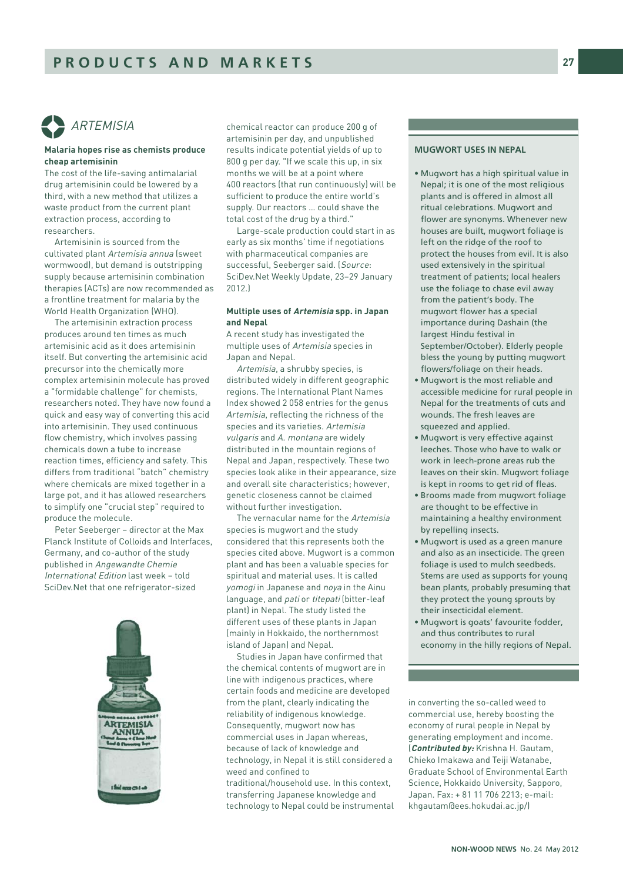

# **Malaria hopes rise as chemists produce cheap artemisinin**

The cost of the life-saving antimalarial drug artemisinin could be lowered by a third, with a new method that utilizes a waste product from the current plant extraction process, according to researchers.

Artemisinin is sourced from the cultivated plant Artemisia annua (sweet wormwood), but demand is outstripping supply because artemisinin combination therapies (ACTs) are now recommended as a frontline treatment for malaria by the World Health Organization (WHO).

The artemisinin extraction process produces around ten times as much artemisinic acid as it does artemisinin itself. But converting the artemisinic acid precursor into the chemically more complex artemisinin molecule has proved a "formidable challenge" for chemists, researchers noted. They have now found a quick and easy way of converting this acid into artemisinin. They used continuous flow chemistry, which involves passing chemicals down a tube to increase reaction times, efficiency and safety. This differs from traditional "batch" chemistry where chemicals are mixed together in a large pot, and it has allowed researchers to simplify one "crucial step" required to produce the molecule.

Peter Seeberger – director at the Max Planck Institute of Colloids and Interfaces, Germany, and co-author of the study published in Angewandte Chemie International Edition last week – told SciDev.Net that one refrigerator-sized



chemical reactor can produce 200 g of artemisinin per day, and unpublished results indicate potential yields of up to 800 g per day. "If we scale this up, in six months we will be at a point where 400 reactors (that run continuously) will be sufficient to produce the entire world's supply. Our reactors … could shave the total cost of the drug by a third."

Large-scale production could start in as early as six months' time if negotiations with pharmaceutical companies are successful, Seeberger said. (Source: SciDev.Net Weekly Update, 23–29 January 2012.)

# **Multiple uses of Artemisia spp. in Japan and Nepal**

A recent study has investigated the multiple uses of Artemisia species in Japan and Nepal.

Artemisia, a shrubby species, is distributed widely in different geographic regions. The International Plant Names Index showed 2 058 entries for the genus Artemisia, reflecting the richness of the species and its varieties. Artemisia vulgaris and A. montana are widely distributed in the mountain regions of Nepal and Japan, respectively. These two species look alike in their appearance, size and overall site characteristics; however, genetic closeness cannot be claimed without further investigation.

The vernacular name for the Artemisia species is mugwort and the study considered that this represents both the species cited above. Mugwort is a common plant and has been a valuable species for spiritual and material uses. It is called yomogi in Japanese and noya in the Ainu language, and *pati* or *titepati* (bitter-leaf plant) in Nepal. The study listed the different uses of these plants in Japan (mainly in Hokkaido, the northernmost island of Japan) and Nepal.

Studies in Japan have confirmed that the chemical contents of mugwort are in line with indigenous practices, where certain foods and medicine are developed from the plant, clearly indicating the reliability of indigenous knowledge. Consequently, mugwort now has commercial uses in Japan whereas, because of lack of knowledge and technology, in Nepal it is still considered a weed and confined to traditional/household use. In this context, transferring Japanese knowledge and technology to Nepal could be instrumental

# MUGWORT USES IN NEPAL

- Mugwort has a high spiritual value in Nepal; it is one of the most religious plants and is offered in almost all ritual celebrations. Mugwort and flower are synonyms. Whenever new houses are built, mugwort foliage is left on the ridge of the roof to protect the houses from evil. It is also used extensively in the spiritual treatment of patients; local healers use the foliage to chase evil away from the patient's body. The mugwort flower has a special importance during Dashain (the largest Hindu festival in September/October). Elderly people bless the young by putting mugwort flowers/foliage on their heads.
- Mugwort is the most reliable and accessible medicine for rural people in Nepal for the treatments of cuts and wounds. The fresh leaves are squeezed and applied.
- Mugwort is very effective against leeches. Those who have to walk or work in leech-prone areas rub the leaves on their skin. Mugwort foliage is kept in rooms to get rid of fleas.
- Brooms made from mugwort foliage are thought to be effective in maintaining a healthy environment by repelling insects.
- Mugwort is used as a green manure and also as an insecticide. The green foliage is used to mulch seedbeds. Stems are used as supports for young bean plants, probably presuming that they protect the young sprouts by their insecticidal element.
- Mugwort is goats' favourite fodder, and thus contributes to rural economy in the hilly regions of Nepal.

in converting the so-called weed to commercial use, hereby boosting the economy of rural people in Nepal by generating employment and income. (**Contributed by:** Krishna H. Gautam, Chieko Imakawa and Teiji Watanabe, Graduate School of Environmental Earth Science, Hokkaido University, Sapporo, Japan. Fax: + 81 11 706 2213; e-mail: khgautam@ees.hokudai.ac.jp/)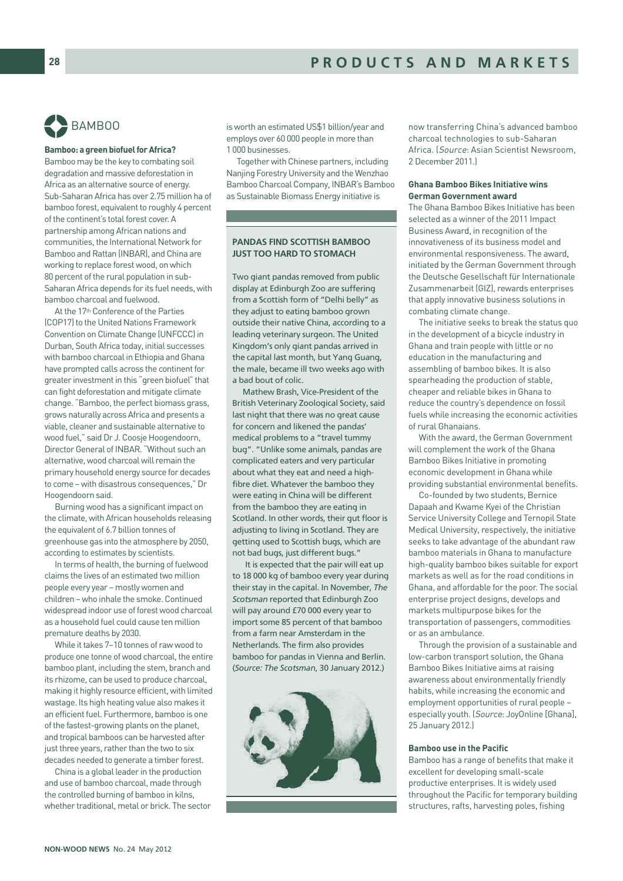

#### **Bamboo: a green biofuel for Africa?**

Bamboo may be the key to combating soil degradation and massive deforestation in Africa as an alternative source of energy. Sub-Saharan Africa has over 2.75 million ha of bamboo forest, equivalent to roughly 4 percent of the continent's total forest cover. A partnership among African nations and communities, the International Network for Bamboo and Rattan (INBAR), and China are working to replace forest wood, on which 80 percent of the rural population in sub-Saharan Africa depends for its fuel needs, with bamboo charcoal and fuelwood.

At the 17th Conference of the Parties (COP17) to the United Nations Framework Convention on Climate Change (UNFCCC) in Durban, South Africa today, initial successes with bamboo charcoal in Ethiopia and Ghana have prompted calls across the continent for greater investment in this "green biofuel" that can fight deforestation and mitigate climate change. "Bamboo, the perfect biomass grass, grows naturally across Africa and presents a viable, cleaner and sustainable alternative to wood fuel," said Dr J. Coosje Hoogendoorn, Director General of INBAR. "Without such an alternative, wood charcoal will remain the primary household energy source for decades to come – with disastrous consequences," Dr Hoogendoorn said.

Burning wood has a significant impact on the climate, with African households releasing the equivalent of 6.7 billion tonnes of greenhouse gas into the atmosphere by 2050, according to estimates by scientists.

In terms of health, the burning of fuelwood claims the lives of an estimated two million people every year – mostly women and children – who inhale the smoke. Continued widespread indoor use of forest wood charcoal as a household fuel could cause ten million premature deaths by 2030.

While it takes 7–10 tonnes of raw wood to produce one tonne of wood charcoal, the entire bamboo plant, including the stem, branch and its rhizome, can be used to produce charcoal, making it highly resource efficient, with limited wastage. Its high heating value also makes it an efficient fuel. Furthermore, bamboo is one of the fastest-growing plants on the planet, and tropical bamboos can be harvested after just three years, rather than the two to six decades needed to generate a timber forest.

China is a global leader in the production and use of bamboo charcoal, made through the controlled burning of bamboo in kilns, whether traditional, metal or brick. The sector is worth an estimated US\$1 billion/year and employs over 60 000 people in more than 1 000 businesses.

Together with Chinese partners, including Nanjing Forestry University and the Wenzhao Bamboo Charcoal Company, INBAR's Bamboo as Sustainable Biomass Energy initiative is

# PANDAS FIND SCOTTISH BAMBOO JUST TOO HARD TO STOMACH

Two giant pandas removed from public display at Edinburgh Zoo are suffering from a Scottish form of "Delhi belly" as they adjust to eating bamboo grown outside their native China, according to a leading veterinary surgeon. The United Kingdom's only giant pandas arrived in the capital last month, but Yang Guang, the male, became ill two weeks ago with a bad bout of colic.

Mathew Brash, Vice-President of the British Veterinary Zoological Society, said last night that there was no great cause for concern and likened the pandas' medical problems to a "travel tummy bug". "Unlike some animals, pandas are complicated eaters and very particular about what they eat and need a highfibre diet. Whatever the bamboo they were eating in China will be different from the bamboo they are eating in Scotland. In other words, their gut floor is adjusting to living in Scotland. They are getting used to Scottish bugs, which are not bad bugs, just different bugs."

It is expected that the pair will eat up to 18 000 kg of bamboo every year during their stay in the capital. In November, *The Scotsman* reported that Edinburgh Zoo will pay around £70 000 every year to import some 85 percent of that bamboo from a farm near Amsterdam in the Netherlands. The firm also provides bamboo for pandas in Vienna and Berlin. (*Source: The Scotsman*, 30 January 2012.)



now transferring China's advanced bamboo charcoal technologies to sub-Saharan Africa. (Source: Asian Scientist Newsroom, 2 December 2011.)

# **Ghana Bamboo Bikes Initiative wins German Government award**

The Ghana Bamboo Bikes Initiative has been selected as a winner of the 2011 Impact Business Award, in recognition of the innovativeness of its business model and environmental responsiveness. The award, initiated by the German Government through the Deutsche Gesellschaft für Internationale Zusammenarbeit (GIZ), rewards enterprises that apply innovative business solutions in combating climate change.

The initiative seeks to break the status quo in the development of a bicycle industry in Ghana and train people with little or no education in the manufacturing and assembling of bamboo bikes. It is also spearheading the production of stable, cheaper and reliable bikes in Ghana to reduce the country's dependence on fossil fuels while increasing the economic activities of rural Ghanaians.

With the award, the German Government will complement the work of the Ghana Bamboo Bikes Initiative in promoting economic development in Ghana while providing substantial environmental benefits.

Co-founded by two students, Bernice Dapaah and Kwame Kyei of the Christian Service University College and Ternopil State Medical University, respectively, the initiative seeks to take advantage of the abundant raw bamboo materials in Ghana to manufacture high-quality bamboo bikes suitable for export markets as well as for the road conditions in Ghana, and affordable for the poor. The social enterprise project designs, develops and markets multipurpose bikes for the transportation of passengers, commodities or as an ambulance.

Through the provision of a sustainable and low-carbon transport solution, the Ghana Bamboo Bikes Initiative aims at raising awareness about environmentally friendly habits, while increasing the economic and employment opportunities of rural people – especially youth. (Source: JoyOnline [Ghana], 25 January 2012.)

#### **Bamboo use in the Pacific**

Bamboo has a range of benefits that make it excellent for developing small-scale productive enterprises. It is widely used throughout the Pacific for temporary building structures, rafts, harvesting poles, fishing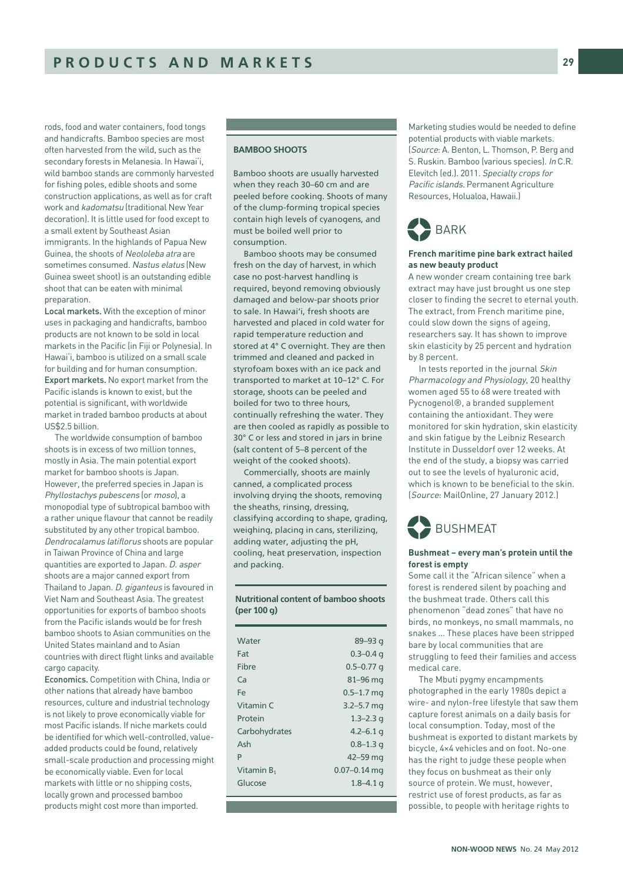rods, food and water containers, food tongs and handicrafts. Bamboo species are most often harvested from the wild, such as the secondary forests in Melanesia. In Hawai'i, wild bamboo stands are commonly harvested for fishing poles, edible shoots and some construction applications, as well as for craft work and kadomatsu (traditional New Year decoration). It is little used for food except to a small extent by Southeast Asian immigrants. In the highlands of Papua New Guinea, the shoots of Neololeba atra are sometimes consumed. Nastus elatus (New Guinea sweet shoot) is an outstanding edible shoot that can be eaten with minimal preparation.

Local markets. With the exception of minor uses in packaging and handicrafts, bamboo products are not known to be sold in local markets in the Pacific (in Fiji or Polynesia). In Hawai'i, bamboo is utilized on a small scale for building and for human consumption. Export markets. No export market from the Pacific islands is known to exist, but the potential is significant, with worldwide market in traded bamboo products at about US\$2.5 billion.

The worldwide consumption of bamboo shoots is in excess of two million tonnes, mostly in Asia. The main potential export market for bamboo shoots is Japan. However, the preferred species in Japan is Phyllostachys pubescens (or moso), a monopodial type of subtropical bamboo with a rather unique flavour that cannot be readily substituted by any other tropical bamboo. Dendrocalamus latiflorus shoots are popular in Taiwan Province of China and large quantities are exported to Japan. D. asper shoots are a major canned export from Thailand to Japan. D. giganteus is favoured in Viet Nam and Southeast Asia. The greatest opportunities for exports of bamboo shoots from the Pacific islands would be for fresh bamboo shoots to Asian communities on the United States mainland and to Asian countries with direct flight links and available cargo capacity.

Economics. Competition with China, India or other nations that already have bamboo resources, culture and industrial technology is not likely to prove economically viable for most Pacific islands. If niche markets could be identified for which well-controlled, valueadded products could be found, relatively small-scale production and processing might be economically viable. Even for local markets with little or no shipping costs, locally grown and processed bamboo products might cost more than imported.

# BAMBOO SHOOTS

Bamboo shoots are usually harvested when they reach 30–60 cm and are peeled before cooking. Shoots of many of the clump-forming tropical species contain high levels of cyanogens, and must be boiled well prior to consumption.

Bamboo shoots may be consumed fresh on the day of harvest, in which case no post-harvest handling is required, beyond removing obviously damaged and below-par shoots prior to sale. In Hawai'i, fresh shoots are harvested and placed in cold water for rapid temperature reduction and stored at 4° C overnight. They are then trimmed and cleaned and packed in styrofoam boxes with an ice pack and transported to market at 10–12° C. For storage, shoots can be peeled and boiled for two to three hours, continually refreshing the water. They are then cooled as rapidly as possible to 30° C or less and stored in jars in brine (salt content of 5–8 percent of the weight of the cooked shoots).

Commercially, shoots are mainly canned, a complicated process involving drying the shoots, removing the sheaths, rinsing, dressing, classifying according to shape, grading, weighing, placing in cans, sterilizing, adding water, adjusting the pH, cooling, heat preservation, inspection and packing.

Nutritional content of bamboo shoots (per 100 g)

| Water         | $89 - 93q$       |
|---------------|------------------|
| Fat           | $0.3 - 0.4$ q    |
| Fibre         | $0.5 - 0.77$ q   |
| Ca            | $81 - 96$ mg     |
| Fe            | $0.5 - 1.7$ mg   |
| Vitamin C     | $3.2 - 5.7$ mg   |
| Protein       | $1.3 - 2.3$ g    |
| Carbohydrates | $4.2 - 6.1$ q    |
| Ash           | $0.8 - 1.3$ q    |
| P             | 42-59 mg         |
| Vitamin $B_1$ | $0.07 - 0.14$ mg |
| Glucose       | $1.8 - 4.1$ q    |
|               |                  |

Marketing studies would be needed to define potential products with viable markets. (Source: A. Benton, L. Thomson, P. Berg and S. Ruskin. Bamboo (various species). In C.R. Elevitch (ed.). 2011. Specialty crops for Pacific islands. Permanent Agriculture Resources, Holualoa, Hawaii.)



# **French maritime pine bark extract hailed as new beauty product**

A new wonder cream containing tree bark extract may have just brought us one step closer to finding the secret to eternal youth. The extract, from French maritime pine, could slow down the signs of ageing, researchers say. It has shown to improve skin elasticity by 25 percent and hydration by 8 percent.

In tests reported in the journal Skin Pharmacology and Physiology, 20 healthy women aged 55 to 68 were treated with Pycnogenol®, a branded supplement containing the antioxidant. They were monitored for skin hydration, skin elasticity and skin fatigue by the Leibniz Research Institute in Dusseldorf over 12 weeks. At the end of the study, a biopsy was carried out to see the levels of hyaluronic acid, which is known to be beneficial to the skin. (Source: MailOnline, 27 January 2012.)



#### **Bushmeat – every man's protein until the forest is empty**

Some call it the "African silence" when a forest is rendered silent by poaching and the bushmeat trade. Others call this phenomenon "dead zones" that have no birds, no monkeys, no small mammals, no snakes … These places have been stripped bare by local communities that are struggling to feed their families and access medical care.

The Mbuti pygmy encampments photographed in the early 1980s depict a wire- and nylon-free lifestyle that saw them capture forest animals on a daily basis for local consumption. Today, most of the bushmeat is exported to distant markets by bicycle, 4×4 vehicles and on foot. No-one has the right to judge these people when they focus on bushmeat as their only source of protein. We must, however, restrict use of forest products, as far as possible, to people with heritage rights to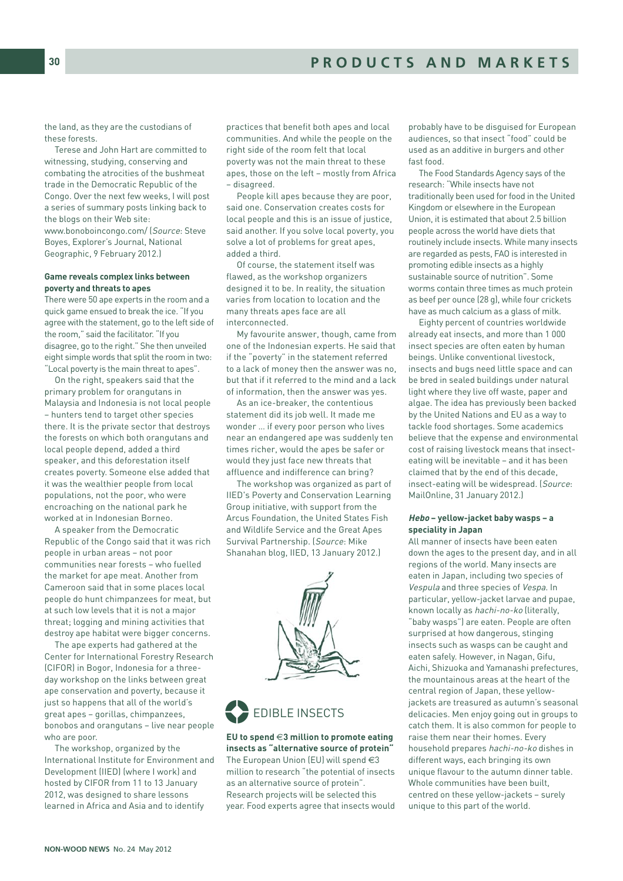the land, as they are the custodians of these forests.

Terese and John Hart are committed to witnessing, studying, conserving and combating the atrocities of the bushmeat trade in the Democratic Republic of the Congo. Over the next few weeks, I will post a series of summary posts linking back to the blogs on their Web site: www.bonoboincongo.com/ (Source: Steve Boyes, Explorer's Journal, National Geographic, 9 February 2012.)

# **Game reveals complex links between poverty and threats to apes**

There were 50 ape experts in the room and a quick game ensued to break the ice. "If you agree with the statement, go to the left side of the room," said the facilitator. "If you disagree, go to the right." She then unveiled eight simple words that split the room in two: "Local poverty is the main threat to apes".

On the right, speakers said that the primary problem for orangutans in Malaysia and Indonesia is not local people – hunters tend to target other species there. It is the private sector that destroys the forests on which both orangutans and local people depend, added a third speaker, and this deforestation itself creates poverty. Someone else added that it was the wealthier people from local populations, not the poor, who were encroaching on the national park he worked at in Indonesian Borneo.

A speaker from the Democratic Republic of the Congo said that it was rich people in urban areas – not poor communities near forests – who fuelled the market for ape meat. Another from Cameroon said that in some places local people do hunt chimpanzees for meat, but at such low levels that it is not a major threat; logging and mining activities that destroy ape habitat were bigger concerns.

The ape experts had gathered at the Center for International Forestry Research (CIFOR) in Bogor, Indonesia for a threeday workshop on the links between great ape conservation and poverty, because it just so happens that all of the world's great apes – gorillas, chimpanzees, bonobos and orangutans – live near people who are poor.

The workshop, organized by the International Institute for Environment and Development (IIED) (where I work) and hosted by CIFOR from 11 to 13 January 2012, was designed to share lessons learned in Africa and Asia and to identify

practices that benefit both apes and local communities. And while the people on the right side of the room felt that local poverty was not the main threat to these apes, those on the left – mostly from Africa – disagreed.

People kill apes because they are poor, said one. Conservation creates costs for local people and this is an issue of justice, said another. If you solve local poverty, you solve a lot of problems for great apes, added a third.

Of course, the statement itself was flawed, as the workshop organizers designed it to be. In reality, the situation varies from location to location and the many threats apes face are all interconnected.

My favourite answer, though, came from one of the Indonesian experts. He said that if the "poverty" in the statement referred to a lack of money then the answer was no, but that if it referred to the mind and a lack of information, then the answer was yes.

As an ice-breaker, the contentious statement did its job well. It made me wonder … if every poor person who lives near an endangered ape was suddenly ten times richer, would the apes be safer or would they just face new threats that affluence and indifference can bring?

The workshop was organized as part of IIED's Poverty and Conservation Learning Group initiative, with support from the Arcus Foundation, the United States Fish and Wildlife Service and the Great Apes Survival Partnership. (Source: Mike Shanahan blog, IIED, 13 January 2012.)





# **EU to spend** €**3 million to promote eating insects as "alternative source of protein"** The European Union (EU) will spend €3 million to research "the potential of insects as an alternative source of protein". Research projects will be selected this year. Food experts agree that insects would

probably have to be disguised for European audiences, so that insect "food" could be used as an additive in burgers and other fast food.

The Food Standards Agency says of the research: "While insects have not traditionally been used for food in the United Kingdom or elsewhere in the European Union, it is estimated that about 2.5 billion people across the world have diets that routinely include insects. While many insects are regarded as pests, FAO is interested in promoting edible insects as a highly sustainable source of nutrition". Some worms contain three times as much protein as beef per ounce (28 g), while four crickets have as much calcium as a glass of milk.

Eighty percent of countries worldwide already eat insects, and more than 1 000 insect species are often eaten by human beings. Unlike conventional livestock, insects and bugs need little space and can be bred in sealed buildings under natural light where they live off waste, paper and algae. The idea has previously been backed by the United Nations and EU as a way to tackle food shortages. Some academics believe that the expense and environmental cost of raising livestock means that insecteating will be inevitable – and it has been claimed that by the end of this decade, insect-eating will be widespread. (Source: MailOnline, 31 January 2012.)

#### **Hebo – yellow-jacket baby wasps – a speciality in Japan**

All manner of insects have been eaten down the ages to the present day, and in all regions of the world. Many insects are eaten in Japan, including two species of Vespula and three species of Vespa. In particular, yellow-jacket larvae and pupae, known locally as hachi-no-ko (literally, "baby wasps") are eaten. People are often surprised at how dangerous, stinging insects such as wasps can be caught and eaten safely. However, in Nagan, Gifu, Aichi, Shizuoka and Yamanashi prefectures, the mountainous areas at the heart of the central region of Japan, these yellowjackets are treasured as autumn's seasonal delicacies. Men enjoy going out in groups to catch them. It is also common for people to raise them near their homes. Every household prepares hachi-no-ko dishes in different ways, each bringing its own unique flavour to the autumn dinner table. Whole communities have been built, centred on these yellow-jackets – surely unique to this part of the world.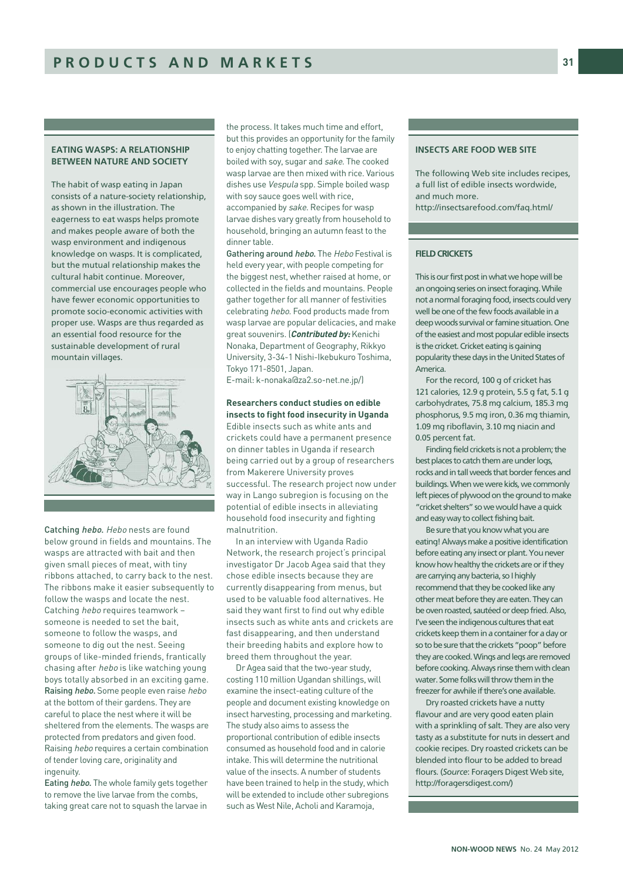# EATING WASPS: A RELATIONSHIP BETWEEN NATURE AND SOCIETY

The habit of wasp eating in Japan consists of a nature-society relationship, as shown in the illustration. The eagerness to eat wasps helps promote and makes people aware of both the wasp environment and indigenous knowledge on wasps. It is complicated, but the mutual relationship makes the cultural habit continue. Moreover, commercial use encourages people who have fewer economic opportunities to promote socio-economic activities with proper use. Wasps are thus regarded as an essential food resource for the sustainable development of rural mountain villages.



Catching *hebo*. Hebo nests are found below ground in fields and mountains. The wasps are attracted with bait and then given small pieces of meat, with tiny ribbons attached, to carry back to the nest. The ribbons make it easier subsequently to follow the wasps and locate the nest. Catching hebo requires teamwork – someone is needed to set the bait, someone to follow the wasps, and someone to dig out the nest. Seeing groups of like-minded friends, frantically chasing after hebo is like watching young boys totally absorbed in an exciting game. Raising hebo. Some people even raise hebo at the bottom of their gardens. They are careful to place the nest where it will be sheltered from the elements. The wasps are protected from predators and given food. Raising hebo requires a certain combination of tender loving care, originality and ingenuity.

Eating hebo. The whole family gets together to remove the live larvae from the combs, taking great care not to squash the larvae in

the process. It takes much time and effort, but this provides an opportunity for the family to enjoy chatting together. The larvae are boiled with soy, sugar and sake. The cooked wasp larvae are then mixed with rice. Various dishes use Vespula spp. Simple boiled wasp with soy sauce goes well with rice, accompanied by sake. Recipes for wasp larvae dishes vary greatly from household to household, bringing an autumn feast to the dinner table.

Gathering around hebo. The Hebo Festival is held every year, with people competing for the biggest nest, whether raised at home, or collected in the fields and mountains. People gather together for all manner of festivities celebrating hebo. Food products made from wasp larvae are popular delicacies, and make great souvenirs. (**Contributed by:** Kenichi Nonaka, Department of Geography, Rikkyo University, 3-34-1 Nishi-Ikebukuro Toshima, Tokyo 171-8501, Japan.

E-mail: k-nonaka@za2.so-net.ne.jp/)

#### **Researchers conduct studies on edible insects to fight food insecurity in Uganda**

Edible insects such as white ants and crickets could have a permanent presence on dinner tables in Uganda if research being carried out by a group of researchers from Makerere University proves successful. The research project now under way in Lango subregion is focusing on the potential of edible insects in alleviating household food insecurity and fighting malnutrition.

In an interview with Uganda Radio Network, the research project's principal investigator Dr Jacob Agea said that they chose edible insects because they are currently disappearing from menus, but used to be valuable food alternatives. He said they want first to find out why edible insects such as white ants and crickets are fast disappearing, and then understand their breeding habits and explore how to breed them throughout the year.

Dr Agea said that the two-year study, costing 110 million Ugandan shillings, will examine the insect-eating culture of the people and document existing knowledge on insect harvesting, processing and marketing. The study also aims to assess the proportional contribution of edible insects consumed as household food and in calorie intake. This will determine the nutritional value of the insects. A number of students have been trained to help in the study, which will be extended to include other subregions such as West Nile, Acholi and Karamoja,

# INSECTS ARE FOOD WEB SITE

The following Web site includes recipes, a full list of edible insects wordwide, and much more. http://insectsarefood.com/faq.html/

# FIELD CRICKETS

This is our first post in what we hope will be an ongoing series on insect foraging. While not a normal foraging food, insects could very well be one of the few foods available in a deep woods survival or famine situation. One of the easiest and most popular edible insects is the cricket. Cricket eating is gaining popularity these days in the United States of America.

For the record, 100 g of cricket has 121 calories, 12.9 g protein, 5.5 g fat, 5.1 g carbohydrates, 75.8 mg calcium, 185.3 mg phosphorus, 9.5 mg iron, 0.36 mg thiamin, 1.09 mg riboflavin, 3.10 mg niacin and 0.05 percent fat.

Finding field crickets is not a problem; the best places to catch them are under logs, rocks and in tall weeds that border fences and buildings. When we were kids, we commonly left pieces of plywood on the ground to make "cricket shelters" so we would have a quick and easy way to collect fishing bait.

Be sure that you know what you are eating! Always make a positive identification before eating any insect or plant. You never know how healthy the crickets are or if they are carrying any bacteria, so I highly recommend that they be cooked like any other meat before they are eaten. They can be oven roasted, sautéed or deep fried. Also, I've seen the indigenous cultures that eat crickets keep them in a container for a day or so to be sure that the crickets "poop" before they are cooked. Wings and legs are removed before cooking. Always rinse them with clean water. Some folks will throw them in the freezer for awhile if there's one available.

Dry roasted crickets have a nutty flavour and are very good eaten plain with a sprinkling of salt. They are also very tasty as a substitute for nuts in dessert and cookie recipes. Dry roasted crickets can be blended into flour to be added to bread flours. (*Source*: Foragers Digest Web site, http://foragersdigest.com/)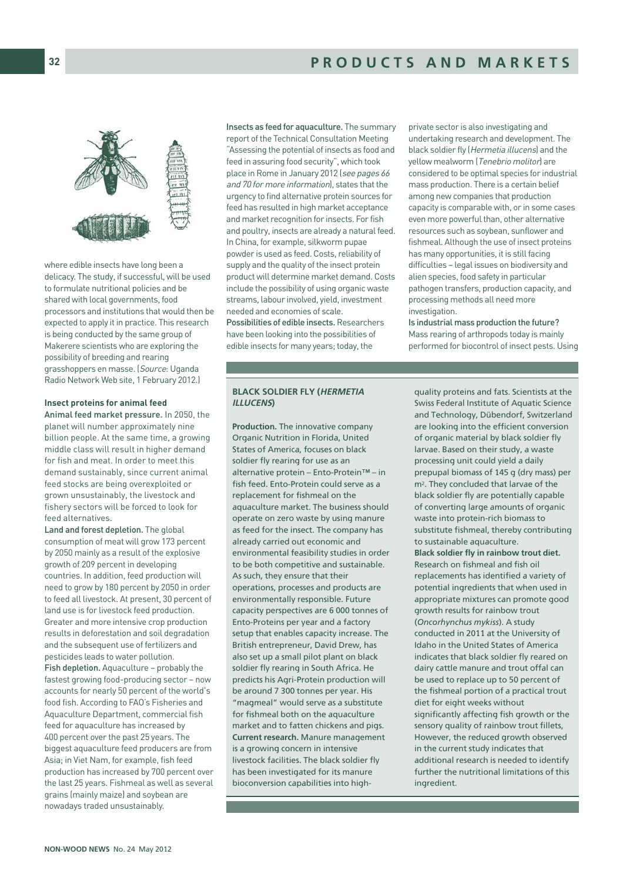where edible insects have long been a delicacy. The study, if successful, will be used to formulate nutritional policies and be shared with local governments, food processors and institutions that would then be expected to apply it in practice. This research is being conducted by the same group of Makerere scientists who are exploring the possibility of breeding and rearing grasshoppers en masse. (Source: Uganda Radio Network Web site, 1 February 2012.)

# **Insect proteins for animal feed**

Animal feed market pressure. In 2050, the planet will number approximately nine billion people. At the same time, a growing middle class will result in higher demand for fish and meat. In order to meet this demand sustainably, since current animal feed stocks are being overexploited or grown unsustainably, the livestock and fishery sectors will be forced to look for feed alternatives.

Land and forest depletion. The global consumption of meat will grow 173 percent by 2050 mainly as a result of the explosive growth of 209 percent in developing countries. In addition, feed production will need to grow by 180 percent by 2050 in order to feed all livestock. At present, 30 percent of land use is for livestock feed production. Greater and more intensive crop production results in deforestation and soil degradation and the subsequent use of fertilizers and pesticides leads to water pollution. Fish depletion. Aquaculture – probably the fastest growing food-producing sector – now accounts for nearly 50 percent of the world's food fish. According to FAO's Fisheries and Aquaculture Department, commercial fish feed for aquaculture has increased by 400 percent over the past 25 years. The biggest aquaculture feed producers are from Asia; in Viet Nam, for example, fish feed production has increased by 700 percent over the last 25 years. Fishmeal as well as several grains (mainly maize) and soybean are nowadays traded unsustainably.

Insects as feed for aquaculture. The summary report of the Technical Consultation Meeting "Assessing the potential of insects as food and feed in assuring food security", which took place in Rome in January 2012 (see pages 66 and 70 for more information), states that the urgency to find alternative protein sources for feed has resulted in high market acceptance and market recognition for insects. For fish and poultry, insects are already a natural feed. In China, for example, silkworm pupae powder is used as feed. Costs, reliability of supply and the quality of the insect protein product will determine market demand. Costs include the possibility of using organic waste streams, labour involved, yield, investment needed and economies of scale. Possibilities of edible insects. Researchers have been looking into the possibilities of edible insects for many years; today, the

private sector is also investigating and undertaking research and development. The black soldier fly (Hermetia illucens) and the yellow mealworm (Tenebrio molitor) are considered to be optimal species for industrial mass production. There is a certain belief among new companies that production capacity is comparable with, or in some cases even more powerful than, other alternative resources such as soybean, sunflower and fishmeal. Although the use of insect proteins has many opportunities, it is still facing difficulties – legal issues on biodiversity and alien species, food safety in particular pathogen transfers, production capacity, and processing methods all need more investigation.

Is industrial mass production the future? Mass rearing of arthropods today is mainly performed for biocontrol of insect pests. Using

# BLACK SOLDIER FLY (HERMETIA ILLUCENS)

Production. The innovative company Organic Nutrition in Florida, United States of America, focuses on black soldier fly rearing for use as an alternative protein – Ento-Protein™ – in fish feed. Ento-Protein could serve as a replacement for fishmeal on the aquaculture market. The business should operate on zero waste by using manure as feed for the insect. The company has already carried out economic and environmental feasibility studies in order to be both competitive and sustainable. As such, they ensure that their operations, processes and products are environmentally responsible. Future capacity perspectives are 6 000 tonnes of Ento-Proteins per year and a factory setup that enables capacity increase. The British entrepreneur, David Drew, has also set up a small pilot plant on black soldier fly rearing in South Africa. He predicts his Agri-Protein production will be around 7 300 tonnes per year. His "magmeal" would serve as a substitute for fishmeal both on the aquaculture market and to fatten chickens and pigs. Current research. Manure management is a growing concern in intensive livestock facilities. The black soldier fly has been investigated for its manure bioconversion capabilities into high-

quality proteins and fats. Scientists at the Swiss Federal Institute of Aquatic Science and Technology, Dübendorf, Switzerland are looking into the efficient conversion of organic material by black soldier fly larvae. Based on their study, a waste processing unit could yield a daily prepupal biomass of 145 g (dry mass) per m<sup>2</sup>. They concluded that larvae of the black soldier fly are potentially capable of converting large amounts of organic waste into protein-rich biomass to substitute fishmeal, thereby contributing to sustainable aquaculture. Black soldier fly in rainbow trout diet. Research on fishmeal and fish oil replacements has identified a variety of potential ingredients that when used in appropriate mixtures can promote good growth results for rainbow trout (*Oncorhynchus mykiss*). A study conducted in 2011 at the University of Idaho in the United States of America indicates that black soldier fly reared on dairy cattle manure and trout offal can be used to replace up to 50 percent of the fishmeal portion of a practical trout diet for eight weeks without significantly affecting fish growth or the sensory quality of rainbow trout fillets, However, the reduced growth observed in the current study indicates that additional research is needed to identify further the nutritional limitations of this ingredient.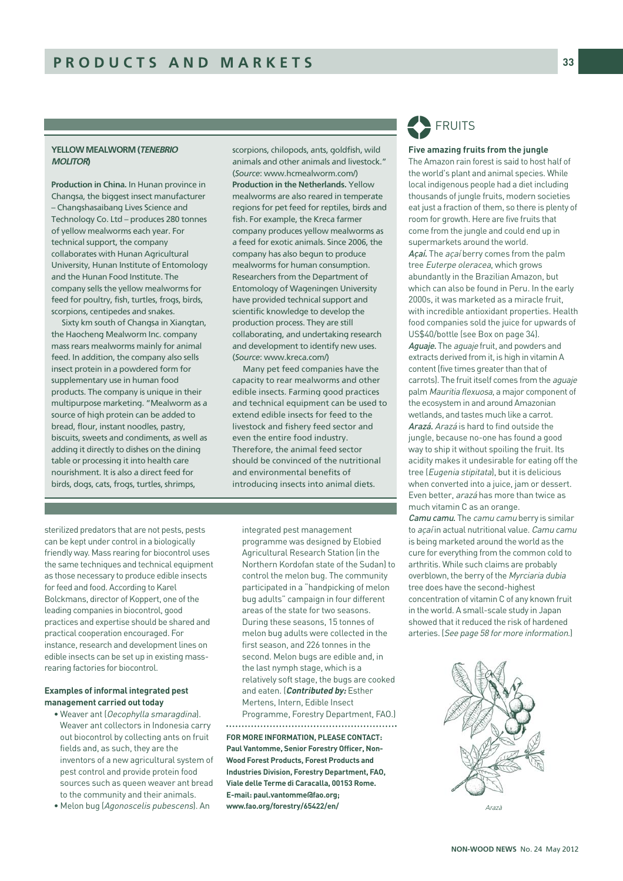# YELLOW MEALWORM (TENEBRIO **MOLITOR**

Production in China. In Hunan province in Changsa, the biggest insect manufacturer – Changshasaibang Lives Science and Technology Co. Ltd – produces 280 tonnes of yellow mealworms each year. For technical support, the company collaborates with Hunan Agricultural University, Hunan Institute of Entomology and the Hunan Food Institute. The company sells the yellow mealworms for feed for poultry, fish, turtles, frogs, birds, scorpions, centipedes and snakes.

Sixty km south of Changsa in Xiangtan, the Haocheng Mealworm Inc. company mass rears mealworms mainly for animal feed. In addition, the company also sells insect protein in a powdered form for supplementary use in human food products. The company is unique in their multipurpose marketing. "Mealworm as a source of high protein can be added to bread, flour, instant noodles, pastry, biscuits, sweets and condiments, as well as adding it directly to dishes on the dining table or processing it into health care nourishment. It is also a direct feed for birds, dogs, cats, frogs, turtles, shrimps,

scorpions, chilopods, ants, goldfish, wild animals and other animals and livestock." (*Source*: www.hcmealworm.com/) Production in the Netherlands. Yellow mealworms are also reared in temperate regions for pet feed for reptiles, birds and fish. For example, the Kreca farmer company produces yellow mealworms as a feed for exotic animals. Since 2006, the company has also begun to produce mealworms for human consumption. Researchers from the Department of Entomology of Wageningen University have provided technical support and scientific knowledge to develop the production process. They are still collaborating, and undertaking research and development to identify new uses. (*Source*: www.kreca.com/)

Many pet feed companies have the capacity to rear mealworms and other edible insects. Farming good practices and technical equipment can be used to extend edible insects for feed to the livestock and fishery feed sector and even the entire food industry. Therefore, the animal feed sector should be convinced of the nutritional and environmental benefits of introducing insects into animal diets.

sterilized predators that are not pests, pests can be kept under control in a biologically friendly way. Mass rearing for biocontrol uses the same techniques and technical equipment as those necessary to produce edible insects for feed and food. According to Karel Bolckmans, director of Koppert, one of the leading companies in biocontrol, good practices and expertise should be shared and practical cooperation encouraged. For instance, research and development lines on edible insects can be set up in existing massrearing factories for biocontrol.

# **Examples of informal integrated pest management carried out today**

- Weaver ant (Oecophylla smaragdina). Weaver ant collectors in Indonesia carry out biocontrol by collecting ants on fruit fields and, as such, they are the inventors of a new agricultural system of pest control and provide protein food sources such as queen weaver ant bread to the community and their animals.
- Melon bug (Agonoscelis pubescens). An

integrated pest management programme was designed by Elobied Agricultural Research Station (in the Northern Kordofan state of the Sudan) to control the melon bug. The community participated in a "handpicking of melon bug adults" campaign in four different areas of the state for two seasons. During these seasons, 15 tonnes of melon bug adults were collected in the first season, and 226 tonnes in the second. Melon bugs are edible and, in the last nymph stage, which is a relatively soft stage, the bugs are cooked and eaten. (**Contributed by:** Esther Mertens, Intern, Edible Insect Programme, Forestry Department, FAO.)

**FOR MORE INFORMATION, PLEASE CONTACT: Paul Vantomme, Senior Forestry Officer, Non-Wood Forest Products, Forest Products and Industries Division, Forestry Department, FAO, Viale delle Terme di Caracalla, 00153 Rome. E-mail: paul.vantomme@fao.org; www.fao.org/forestry/65422/en/** 

# FRUITS %

# **Five amazing fruits from the jungle**

The Amazon rain forest is said to host half of the world's plant and animal species. While local indigenous people had a diet including thousands of jungle fruits, modern societies eat just a fraction of them, so there is plenty of room for growth. Here are five fruits that come from the jungle and could end up in supermarkets around the world. Açaí. The açaí berry comes from the palm tree Euterpe oleracea, which grows abundantly in the Brazilian Amazon, but which can also be found in Peru. In the early 2000s, it was marketed as a miracle fruit, with incredible antioxidant properties. Health food companies sold the juice for upwards of US\$40/bottle (see Box on page 34). Aguaje. The aguaje fruit, and powders and extracts derived from it, is high in vitamin A content (five times greater than that of carrots). The fruit itself comes from the aguaje palm Mauritia flexuosa, a major component of the ecosystem in and around Amazonian wetlands, and tastes much like a carrot. Arazá. Arazá is hard to find outside the jungle, because no-one has found a good way to ship it without spoiling the fruit. Its acidity makes it undesirable for eating off the tree (Eugenia stipitata), but it is delicious when converted into a juice, jam or dessert. Even better, arazá has more than twice as much vitamin C as an orange. Camu camu. The camu camu berry is similar to *acaí* in actual nutritional value. Camu camu is being marketed around the world as the cure for everything from the common cold to arthritis. While such claims are probably overblown, the berry of the Myrciaria dubia tree does have the second-highest concentration of vitamin C of any known fruit

in the world. A small-scale study in Japan showed that it reduced the risk of hardened arteries. (See page 58 for more information.)

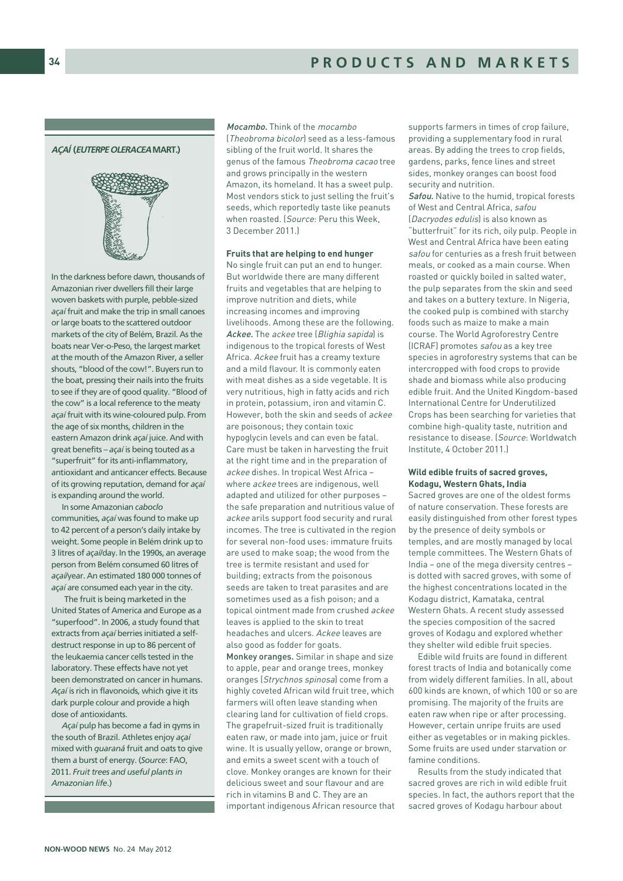# AÇAÍ (EUTERPE OLERACEA MART.)



In the darkness before dawn, thousands of Amazonian river dwellers fill their large woven baskets with purple, pebble-sized *açaí*fruit and make the trip in small canoes or large boats to the scattered outdoor markets of the city of Belém, Brazil. As the boats near Ver-o-Peso, the largest market at the mouth of the Amazon River, a seller shouts, "blood of the cow!". Buyers run to the boat, pressing their nails into the fruits to see if they are of good quality. "Blood of the cow" is a local reference to the meaty *açaí*fruit with its wine-coloured pulp. From the age of six months, children in the eastern Amazon drink *açaí* juice. And with great benefits – *açaí* is being touted as a "superfruit" for its anti-inflammatory, antioxidant and anticancer effects. Because of its growing reputation, demand for *açaí* is expanding around the world.

In some Amazonian *caboclo* communities, *açaí* was found to make up to 42 percent of a person's daily intake by weight. Some people in Belém drink up to 3 litres of *açaí*/day. In the 1990s, an average person from Belém consumed 60 litres of *açaí*/year. An estimated 180 000 tonnes of *açaí* are consumed each year in the city.

The fruit is being marketed in the United States of America and Europe as a "superfood". In 2006, a study found that extracts from *açaí* berries initiated a selfdestruct response in up to 86 percent of the leukaemia cancer cells tested in the laboratory. These effects have not yet been demonstrated on cancer in humans. *Açaí* is rich in flavonoids, which give it its dark purple colour and provide a high dose of antioxidants.

*Açaí* pulp has become a fad in gyms in the south of Brazil. Athletes enjoy *açaí* mixed with *guaraná* fruit and oats to give them a burst of energy. (*Source*: FAO, 2011. *Fruit trees and useful plants in Amazonian life*.)

Mocambo. Think of the mocambo (Theobroma bicolor) seed as a less-famous sibling of the fruit world. It shares the genus of the famous Theobroma cacao tree and grows principally in the western Amazon, its homeland. It has a sweet pulp. Most vendors stick to just selling the fruit's seeds, which reportedly taste like peanuts when roasted. (Source: Peru this Week, 3 December 2011.)

#### **Fruits that are helping to end hunger**

No single fruit can put an end to hunger. But worldwide there are many different fruits and vegetables that are helping to improve nutrition and diets, while increasing incomes and improving livelihoods. Among these are the following. Ackee. The ackee tree (Blighia sapida) is indigenous to the tropical forests of West Africa. Ackee fruit has a creamy texture and a mild flavour. It is commonly eaten with meat dishes as a side vegetable. It is very nutritious, high in fatty acids and rich in protein, potassium, iron and vitamin C. However, both the skin and seeds of ackee are poisonous; they contain toxic hypoglycin levels and can even be fatal. Care must be taken in harvesting the fruit at the right time and in the preparation of ackee dishes. In tropical West Africa – where ackee trees are indigenous, well adapted and utilized for other purposes – the safe preparation and nutritious value of ackee arils support food security and rural incomes. The tree is cultivated in the region for several non-food uses: immature fruits are used to make soap; the wood from the tree is termite resistant and used for building; extracts from the poisonous seeds are taken to treat parasites and are sometimes used as a fish poison; and a topical ointment made from crushed ackee leaves is applied to the skin to treat headaches and ulcers. Ackee leaves are also good as fodder for goats. Monkey oranges. Similar in shape and size to apple, pear and orange trees, monkey oranges (Strychnos spinosa) come from a highly coveted African wild fruit tree, which farmers will often leave standing when clearing land for cultivation of field crops. The grapefruit-sized fruit is traditionally eaten raw, or made into jam, juice or fruit wine. It is usually yellow, orange or brown, and emits a sweet scent with a touch of clove. Monkey oranges are known for their delicious sweet and sour flavour and are

rich in vitamins B and C. They are an important indigenous African resource that

supports farmers in times of crop failure, providing a supplementary food in rural areas. By adding the trees to crop fields, gardens, parks, fence lines and street sides, monkey oranges can boost food security and nutrition.

Safou. Native to the humid, tropical forests of West and Central Africa, safou (Dacryodes edulis) is also known as "butterfruit" for its rich, oily pulp. People in West and Central Africa have been eating safou for centuries as a fresh fruit between meals, or cooked as a main course. When roasted or quickly boiled in salted water, the pulp separates from the skin and seed and takes on a buttery texture. In Nigeria, the cooked pulp is combined with starchy foods such as maize to make a main course. The World Agroforestry Centre (ICRAF) promotes safou as a key tree species in agroforestry systems that can be intercropped with food crops to provide shade and biomass while also producing edible fruit. And the United Kingdom-based International Centre for Underutilized Crops has been searching for varieties that combine high-quality taste, nutrition and resistance to disease. (Source: Worldwatch Institute, 4 October 2011.)

#### **Wild edible fruits of sacred groves, Kodagu, Western Ghats, India**

Sacred groves are one of the oldest forms of nature conservation. These forests are easily distinguished from other forest types by the presence of deity symbols or temples, and are mostly managed by local temple committees. The Western Ghats of India – one of the mega diversity centres – is dotted with sacred groves, with some of the highest concentrations located in the Kodagu district, Kamataka, central Western Ghats. A recent study assessed the species composition of the sacred groves of Kodagu and explored whether they shelter wild edible fruit species.

Edible wild fruits are found in different forest tracts of India and botanically come from widely different families. In all, about 600 kinds are known, of which 100 or so are promising. The majority of the fruits are eaten raw when ripe or after processing. However, certain unripe fruits are used either as vegetables or in making pickles. Some fruits are used under starvation or famine conditions.

Results from the study indicated that sacred groves are rich in wild edible fruit species. In fact, the authors report that the sacred groves of Kodagu harbour about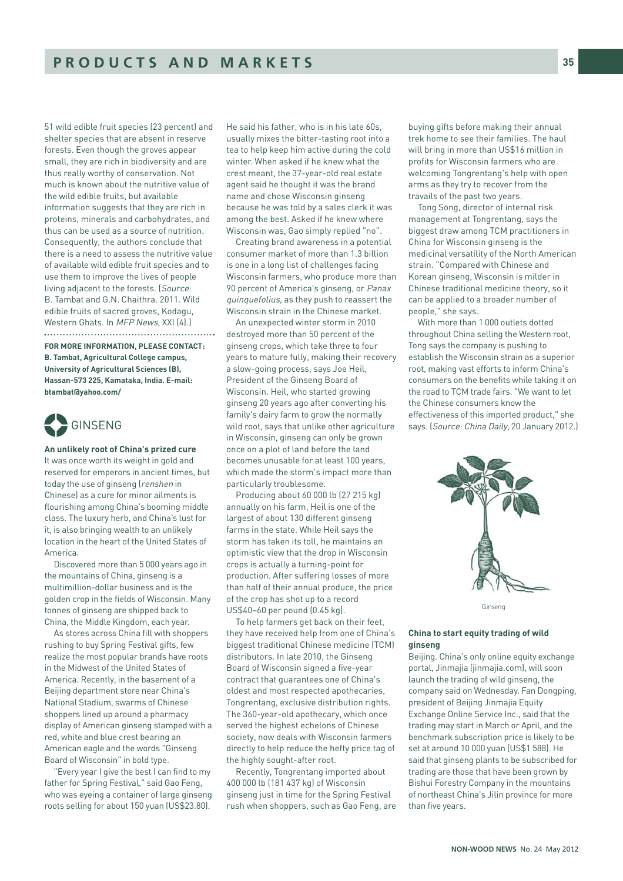51 wild edible fruit species (23 percent) and shelter species that are absent in reserve forests. Even though the groves appear small, they are rich in biodiversity and are thus really worthy of conservation. Not much is known about the nutritive value of the wild edible fruits, but available information suggests that they are rich in proteins, minerals and carbohydrates, and thus can be used as a source of nutrition. Consequently, the authors conclude that there is a need to assess the nutritive value of available wild edible fruit species and to use them to improve the lives of people living adjacent to the forests. (Source: B. Tambat and G.N. Chaithra. 2011. Wild edible fruits of sacred groves, Kodagu, Western Ghats. In MFP News, XXI (4).) 

**FOR MORE INFORMATION, PLEASE CONTACT: B. Tambat, Agricultural College campus, University of Agricultural Sciences (B), Hassan-573 225, Kamataka, India. E-mail: btambat@yahoo.com/**



## **An unlikely root of China's prized cure**

It was once worth its weight in gold and reserved for emperors in ancient times, but today the use of ginseng (renshen in Chinese) as a cure for minor ailments is flourishing among China's booming middle class. The luxury herb, and China's lust for it, is also bringing wealth to an unlikely location in the heart of the United States of America.

Discovered more than 5 000 years ago in the mountains of China, ginseng is a multimillion-dollar business and is the golden crop in the fields of Wisconsin. Many tonnes of ginseng are shipped back to China, the Middle Kingdom, each year.

As stores across China fill with shoppers rushing to buy Spring Festival gifts, few realize the most popular brands have roots in the Midwest of the United States of America. Recently, in the basement of a Beijing department store near China's National Stadium, swarms of Chinese shoppers lined up around a pharmacy display of American ginseng stamped with a red, white and blue crest bearing an American eagle and the words "Ginseng Board of Wisconsin" in bold type.

"Every year I give the best I can find to my father for Spring Festival," said Gao Feng, who was eyeing a container of large ginseng roots selling for about 150 yuan (US\$23.80).

He said his father, who is in his late 60s usually mixes the bitter-tasting root into a tea to help keep him active during the cold winter. When asked if he knew what the crest meant, the 37-year-old real estate agent said he thought it was the brand name and chose Wisconsin ginseng because he was told by a sales clerk it was among the best. Asked if he knew where Wisconsin was, Gao simply replied "no".

Creating brand awareness in a potential consumer market of more than 1.3 billion is one in a long list of challenges facing Wisconsin farmers, who produce more than 90 percent of America's ginseng, or Panax quinquefolius, as they push to reassert the Wisconsin strain in the Chinese market.

An unexpected winter storm in 2010 destroyed more than 50 percent of the ginseng crops, which take three to four years to mature fully, making their recovery a slow-going process, says Joe Heil, President of the Ginseng Board of Wisconsin. Heil, who started growing ginseng 20 years ago after converting his family's dairy farm to grow the normally wild root, says that unlike other agriculture in Wisconsin, ginseng can only be grown once on a plot of land before the land becomes unusable for at least 100 years, which made the storm's impact more than particularly troublesome.

Producing about 60 000 lb (27 215 kg) annually on his farm, Heil is one of the largest of about 130 different ginseng farms in the state. While Heil says the storm has taken its toll, he maintains an optimistic view that the drop in Wisconsin crops is actually a turning-point for production. After suffering losses of more than half of their annual produce, the price of the crop has shot up to a record US\$40–60 per pound (0.45 kg).

To help farmers get back on their feet, they have received help from one of China's biggest traditional Chinese medicine (TCM) distributors. In late 2010, the Ginseng Board of Wisconsin signed a five-year contract that guarantees one of China's oldest and most respected apothecaries, Tongrentang, exclusive distribution rights. The 360-year-old apothecary, which once served the highest echelons of Chinese society, now deals with Wisconsin farmers directly to help reduce the hefty price tag of the highly sought-after root.

Recently, Tongrentang imported about 400 000 lb (181 437 kg) of Wisconsin ginseng just in time for the Spring Festival rush when shoppers, such as Gao Feng, are

buying gifts before making their annual trek home to see their families. The haul will bring in more than US\$16 million in profits for Wisconsin farmers who are welcoming Tongrentang's help with open arms as they try to recover from the travails of the past two years.

Tong Song, director of internal risk management at Tongrentang, says the biggest draw among TCM practitioners in China for Wisconsin ginseng is the medicinal versatility of the North American strain. "Compared with Chinese and Korean ginseng, Wisconsin is milder in Chinese traditional medicine theory, so it can be applied to a broader number of people," she says.

With more than 1 000 outlets dotted throughout China selling the Western root, Tong says the company is pushing to establish the Wisconsin strain as a superior root, making vast efforts to inform China's consumers on the benefits while taking it on the road to TCM trade fairs. "We want to let the Chinese consumers know the effectiveness of this imported product," she says. (Source: China Daily, 20 January 2012.)



Ginseng

# **China to start equity trading of wild ginseng**

Beijing. China's only online equity exchange portal, Jinmajia (jinmajia.com), will soon launch the trading of wild ginseng, the company said on Wednesday. Fan Dongping, president of Beijing Jinmajia Equity Exchange Online Service Inc., said that the trading may start in March or April, and the benchmark subscription price is likely to be set at around 10 000 yuan (US\$1 588). He said that ginseng plants to be subscribed for trading are those that have been grown by Bishui Forestry Company in the mountains of northeast China's Jilin province for more than five years.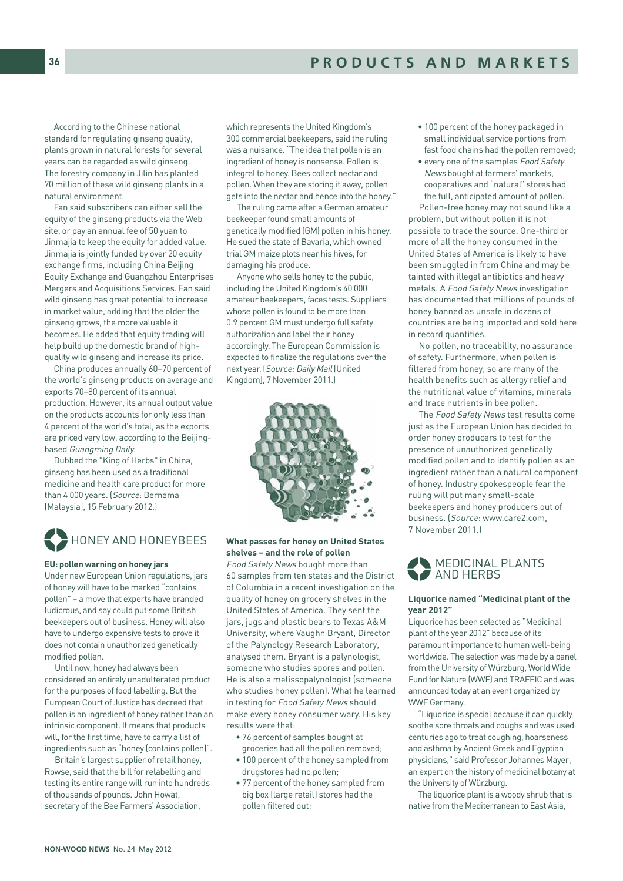According to the Chinese national standard for regulating ginseng quality, plants grown in natural forests for several years can be regarded as wild ginseng. The forestry company in Jilin has planted 70 million of these wild ginseng plants in a natural environment.

Fan said subscribers can either sell the equity of the ginseng products via the Web site, or pay an annual fee of 50 yuan to Jinmajia to keep the equity for added value. Jinmajia is jointly funded by over 20 equity exchange firms, including China Beijing Equity Exchange and Guangzhou Enterprises Mergers and Acquisitions Services. Fan said wild ginseng has great potential to increase in market value, adding that the older the ginseng grows, the more valuable it becomes. He added that equity trading will help build up the domestic brand of highquality wild ginseng and increase its price.

China produces annually 60–70 percent of the world's ginseng products on average and exports 70–80 percent of its annual production. However, its annual output value on the products accounts for only less than 4 percent of the world's total, as the exports are priced very low, according to the Beijingbased Guangming Daily.

Dubbed the "King of Herbs" in China, ginseng has been used as a traditional medicine and health care product for more than 4 000 years. (Source: Bernama [Malaysia], 15 February 2012.)



#### **EU: pollen warning on honey jars**

Under new European Union regulations, jars of honey will have to be marked "contains pollen" – a move that experts have branded ludicrous, and say could put some British beekeepers out of business. Honey will also have to undergo expensive tests to prove it does not contain unauthorized genetically modified pollen.

Until now, honey had always been considered an entirely unadulterated product for the purposes of food labelling. But the European Court of Justice has decreed that pollen is an ingredient of honey rather than an intrinsic component. It means that products will, for the first time, have to carry a list of ingredients such as "honey (contains pollen)".

Britain's largest supplier of retail honey, Rowse, said that the bill for relabelling and testing its entire range will run into hundreds of thousands of pounds. John Howat, secretary of the Bee Farmers' Association,

which represents the United Kingdom's 300 commercial beekeepers, said the ruling was a nuisance. "The idea that pollen is an ingredient of honey is nonsense. Pollen is integral to honey. Bees collect nectar and pollen. When they are storing it away, pollen gets into the nectar and hence into the honey."

The ruling came after a German amateur beekeeper found small amounts of genetically modified (GM) pollen in his honey. He sued the state of Bavaria, which owned trial GM maize plots near his hives, for damaging his produce.

Anyone who sells honey to the public, including the United Kingdom's 40 000 amateur beekeepers, faces tests. Suppliers whose pollen is found to be more than 0.9 percent GM must undergo full safety authorization and label their honey accordingly. The European Commission is expected to finalize the regulations over the next year. (Source: Daily Mail [United Kingdom], 7 November 2011.)



# **What passes for honey on United States shelves – and the role of pollen**

Food Safety News bought more than 60 samples from ten states and the District of Columbia in a recent investigation on the quality of honey on grocery shelves in the United States of America. They sent the jars, jugs and plastic bears to Texas A&M University, where Vaughn Bryant, Director of the Palynology Research Laboratory, analysed them. Bryant is a palynologist, someone who studies spores and pollen. He is also a melissopalynologist (someone who studies honey pollen). What he learned in testing for Food Safety News should make every honey consumer wary. His key results were that:

- 76 percent of samples bought at groceries had all the pollen removed;
- 100 percent of the honey sampled from drugstores had no pollen;
- 77 percent of the honey sampled from big box [large retail] stores had the pollen filtered out;
- 100 percent of the honey packaged in small individual service portions from fast food chains had the pollen removed;
- every one of the samples Food Safety News bought at farmers' markets, cooperatives and "natural" stores had the full, anticipated amount of pollen.

Pollen-free honey may not sound like a problem, but without pollen it is not possible to trace the source. One-third or more of all the honey consumed in the United States of America is likely to have been smuggled in from China and may be tainted with illegal antibiotics and heavy metals. A Food Safety News investigation has documented that millions of pounds of honey banned as unsafe in dozens of countries are being imported and sold here in record quantities.

No pollen, no traceability, no assurance of safety. Furthermore, when pollen is filtered from honey, so are many of the health benefits such as allergy relief and the nutritional value of vitamins, minerals and trace nutrients in bee pollen.

The Food Safety News test results come just as the European Union has decided to order honey producers to test for the presence of unauthorized genetically modified pollen and to identify pollen as an ingredient rather than a natural component of honey. Industry spokespeople fear the ruling will put many small-scale beekeepers and honey producers out of business. (Source: www.care2.com, 7 November 2011.)

# MEDICINAL PLANTS<br>AND HERBS **AND HERBS**

# **Liquorice named "Medicinal plant of the year 2012"**

Liquorice has been selected as "Medicinal plant of the year 2012" because of its paramount importance to human well-being worldwide. The selection was made by a panel from the University of Würzburg, World Wide Fund for Nature (WWF) and TRAFFIC and was announced today at an event organized by WWF Germany.

"Liquorice is special because it can quickly soothe sore throats and coughs and was used centuries ago to treat coughing, hoarseness and asthma by Ancient Greek and Egyptian physicians," said Professor Johannes Mayer, an expert on the history of medicinal botany at the University of Würzburg.

The liquorice plant is a woody shrub that is native from the Mediterranean to East Asia,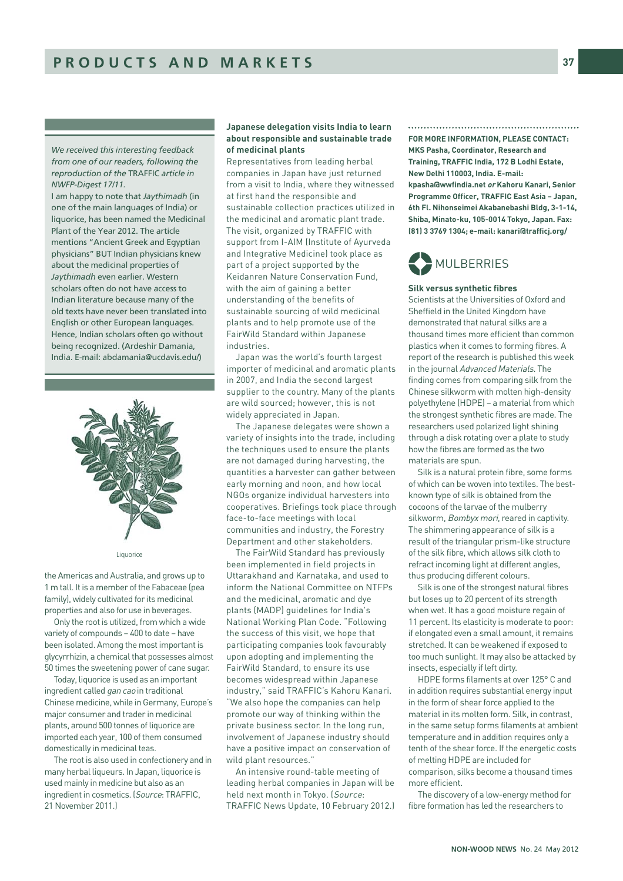*We received this interesting feedback from one of our readers, following the reproduction of the* TRAFFIC *article in NWFP-Digest 17/11.*

I am happy to note that *Jaythimadh* (in one of the main languages of India) or liquorice, has been named the Medicinal Plant of the Year 2012. The article mentions "Ancient Greek and Egyptian physicians" BUT Indian physicians knew about the medicinal properties of *Jaythimadh* even earlier. Western scholars often do not have access to Indian literature because many of the old texts have never been translated into English or other European languages. Hence, Indian scholars often go without being recognized. (Ardeshir Damania, India. E-mail: abdamania@ucdavis.edu/)



#### Liquorice

the Americas and Australia, and grows up to 1 m tall. It is a member of the Fabaceae (pea family), widely cultivated for its medicinal properties and also for use in beverages.

Only the root is utilized, from which a wide variety of compounds – 400 to date – have been isolated. Among the most important is glycyrrhizin, a chemical that possesses almost 50 times the sweetening power of cane sugar.

Today, liquorice is used as an important ingredient called gan cao in traditional Chinese medicine, while in Germany, Europe's major consumer and trader in medicinal plants, around 500 tonnes of liquorice are imported each year, 100 of them consumed domestically in medicinal teas.

The root is also used in confectionery and in many herbal liqueurs. In Japan, liquorice is used mainly in medicine but also as an ingredient in cosmetics. (Source: TRAFFIC, 21 November 2011.)

# **Japanese delegation visits India to learn about responsible and sustainable trade of medicinal plants**

Representatives from leading herbal companies in Japan have just returned from a visit to India, where they witnessed at first hand the responsible and sustainable collection practices utilized in the medicinal and aromatic plant trade. The visit, organized by TRAFFIC with support from I-AIM (Institute of Ayurveda and Integrative Medicine) took place as part of a project supported by the Keidanren Nature Conservation Fund, with the aim of gaining a better understanding of the benefits of sustainable sourcing of wild medicinal plants and to help promote use of the FairWild Standard within Japanese industries.

Japan was the world's fourth largest importer of medicinal and aromatic plants in 2007, and India the second largest supplier to the country. Many of the plants are wild sourced; however, this is not widely appreciated in Japan.

The Japanese delegates were shown a variety of insights into the trade, including the techniques used to ensure the plants are not damaged during harvesting, the quantities a harvester can gather between early morning and noon, and how local NGOs organize individual harvesters into cooperatives. Briefings took place through face-to-face meetings with local communities and industry, the Forestry Department and other stakeholders.

The FairWild Standard has previously been implemented in field projects in Uttarakhand and Karnataka, and used to inform the National Committee on NTFPs and the medicinal, aromatic and dye plants (MADP) guidelines for India's National Working Plan Code. "Following the success of this visit, we hope that participating companies look favourably upon adopting and implementing the FairWild Standard, to ensure its use becomes widespread within Japanese industry," said TRAFFIC's Kahoru Kanari. "We also hope the companies can help promote our way of thinking within the private business sector. In the long run, involvement of Japanese industry should have a positive impact on conservation of wild plant resources."

An intensive round-table meeting of leading herbal companies in Japan will be held next month in Tokyo. (Source: TRAFFIC News Update, 10 February 2012.)

# 

**FOR MORE INFORMATION, PLEASE CONTACT: MKS Pasha, Coordinator, Research and Training, TRAFFIC India, 172 B Lodhi Estate, New Delhi 110003, India. E-mail: kpasha@wwfindia.net or Kahoru Kanari, Senior Programme Officer, TRAFFIC East Asia – Japan, 6th Fl. Nihonseimei Akabanebashi Bldg, 3-1-14, Shiba, Minato-ku, 105-0014 Tokyo, Japan. Fax: (81) 3 3769 1304; e-mail: kanari@trafficj.org/** 

# MULBERRIES %

# **Silk versus synthetic fibres**

Scientists at the Universities of Oxford and Sheffield in the United Kingdom have demonstrated that natural silks are a thousand times more efficient than common plastics when it comes to forming fibres. A report of the research is published this week in the journal Advanced Materials. The finding comes from comparing silk from the Chinese silkworm with molten high-density polyethylene (HDPE) – a material from which the strongest synthetic fibres are made. The researchers used polarized light shining through a disk rotating over a plate to study how the fibres are formed as the two materials are spun.

Silk is a natural protein fibre, some forms of which can be woven into textiles. The bestknown type of silk is obtained from the cocoons of the larvae of the mulberry silkworm, Bombyx mori, reared in captivity. The shimmering appearance of silk is a result of the triangular prism-like structure of the silk fibre, which allows silk cloth to refract incoming light at different angles, thus producing different colours.

Silk is one of the strongest natural fibres but loses up to 20 percent of its strength when wet. It has a good moisture regain of 11 percent. Its elasticity is moderate to poor: if elongated even a small amount, it remains stretched. It can be weakened if exposed to too much sunlight. It may also be attacked by insects, especially if left dirty.

HDPE forms filaments at over 125° C and in addition requires substantial energy input in the form of shear force applied to the material in its molten form. Silk, in contrast, in the same setup forms filaments at ambient temperature and in addition requires only a tenth of the shear force. If the energetic costs of melting HDPE are included for comparison, silks become a thousand times more efficient.

The discovery of a low-energy method for fibre formation has led the researchers to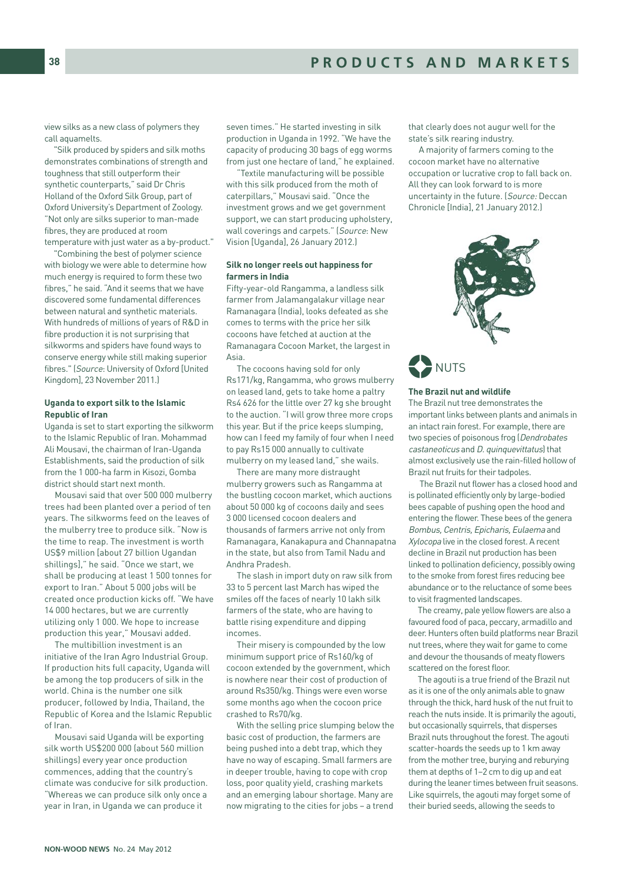view silks as a new class of polymers they call aquamelts.

"Silk produced by spiders and silk moths demonstrates combinations of strength and toughness that still outperform their synthetic counterparts," said Dr Chris Holland of the Oxford Silk Group, part of Oxford University's Department of Zoology. "Not only are silks superior to man-made fibres, they are produced at room temperature with just water as a by-product."

"Combining the best of polymer science with biology we were able to determine how much energy is required to form these two fibres," he said. "And it seems that we have discovered some fundamental differences between natural and synthetic materials. With hundreds of millions of years of R&D in fibre production it is not surprising that silkworms and spiders have found ways to conserve energy while still making superior fibres." (Source: University of Oxford [United Kingdom], 23 November 2011.)

## **Uganda to export silk to the Islamic Republic of Iran**

Uganda is set to start exporting the silkworm to the Islamic Republic of Iran. Mohammad Ali Mousavi, the chairman of Iran-Uganda Establishments, said the production of silk from the 1 000-ha farm in Kisozi, Gomba district should start next month.

Mousavi said that over 500 000 mulberry trees had been planted over a period of ten years. The silkworms feed on the leaves of the mulberry tree to produce silk. "Now is the time to reap. The investment is worth US\$9 million [about 27 billion Ugandan shillings]," he said. "Once we start, we shall be producing at least 1 500 tonnes for export to Iran." About 5 000 jobs will be created once production kicks off. "We have 14 000 hectares, but we are currently utilizing only 1 000. We hope to increase production this year," Mousavi added.

The multibillion investment is an initiative of the Iran Agro Industrial Group. If production hits full capacity, Uganda will be among the top producers of silk in the world. China is the number one silk producer, followed by India, Thailand, the Republic of Korea and the Islamic Republic of Iran.

Mousavi said Uganda will be exporting silk worth US\$200 000 (about 560 million shillings) every year once production commences, adding that the country's climate was conducive for silk production. "Whereas we can produce silk only once a year in Iran, in Uganda we can produce it

seven times." He started investing in silk production in Uganda in 1992. "We have the capacity of producing 30 bags of egg worms from just one hectare of land," he explained.

"Textile manufacturing will be possible with this silk produced from the moth of caterpillars," Mousavi said. "Once the investment grows and we get government support, we can start producing upholstery, wall coverings and carpets." (Source: New Vision [Uganda], 26 January 2012.)

# **Silk no longer reels out happiness for farmers in India**

Fifty-year-old Rangamma, a landless silk farmer from Jalamangalakur village near Ramanagara (India), looks defeated as she comes to terms with the price her silk cocoons have fetched at auction at the Ramanagara Cocoon Market, the largest in Asia.

The cocoons having sold for only Rs171/kg, Rangamma, who grows mulberry on leased land, gets to take home a paltry Rs4 626 for the little over 27 kg she brought to the auction. "I will grow three more crops this year. But if the price keeps slumping, how can I feed my family of four when I need to pay Rs15 000 annually to cultivate mulberry on my leased land," she wails.

There are many more distraught mulberry growers such as Rangamma at the bustling cocoon market, which auctions about 50 000 kg of cocoons daily and sees 3 000 licensed cocoon dealers and thousands of farmers arrive not only from Ramanagara, Kanakapura and Channapatna in the state, but also from Tamil Nadu and Andhra Pradesh.

The slash in import duty on raw silk from 33 to 5 percent last March has wiped the smiles off the faces of nearly 10 lakh silk farmers of the state, who are having to battle rising expenditure and dipping incomes.

Their misery is compounded by the low minimum support price of Rs160/kg of cocoon extended by the government, which is nowhere near their cost of production of around Rs350/kg. Things were even worse some months ago when the cocoon price crashed to Rs70/kg.

With the selling price slumping below the basic cost of production, the farmers are being pushed into a debt trap, which they have no way of escaping. Small farmers are in deeper trouble, having to cope with crop loss, poor quality yield, crashing markets and an emerging labour shortage. Many are now migrating to the cities for jobs – a trend that clearly does not augur well for the state's silk rearing industry.

A majority of farmers coming to the cocoon market have no alternative occupation or lucrative crop to fall back on. All they can look forward to is more uncertainty in the future. (Source: Deccan Chronicle [India], 21 January 2012.)



NUTS %

#### **The Brazil nut and wildlife**

The Brazil nut tree demonstrates the important links between plants and animals in an intact rain forest. For example, there are two species of poisonous frog (Dendrobates castaneoticus and D. quinquevittatus) that almost exclusively use the rain-filled hollow of Brazil nut fruits for their tadpoles.

The Brazil nut flower has a closed hood and is pollinated efficiently only by large-bodied bees capable of pushing open the hood and entering the flower. These bees of the genera Bombus, Centris, Epicharis, Eulaema and Xylocopa live in the closed forest. A recent decline in Brazil nut production has been linked to pollination deficiency, possibly owing to the smoke from forest fires reducing bee abundance or to the reluctance of some bees to visit fragmented landscapes.

The creamy, pale yellow flowers are also a favoured food of paca, peccary, armadillo and deer. Hunters often build platforms near Brazil nut trees, where they wait for game to come and devour the thousands of meaty flowers scattered on the forest floor.

The agouti is a true friend of the Brazil nut as it is one of the only animals able to gnaw through the thick, hard husk of the nut fruit to reach the nuts inside. It is primarily the agouti, but occasionally squirrels, that disperses Brazil nuts throughout the forest. The agouti scatter-hoards the seeds up to 1 km away from the mother tree, burying and reburying them at depths of 1–2 cm to dig up and eat during the leaner times between fruit seasons. Like squirrels, the agouti may forget some of their buried seeds, allowing the seeds to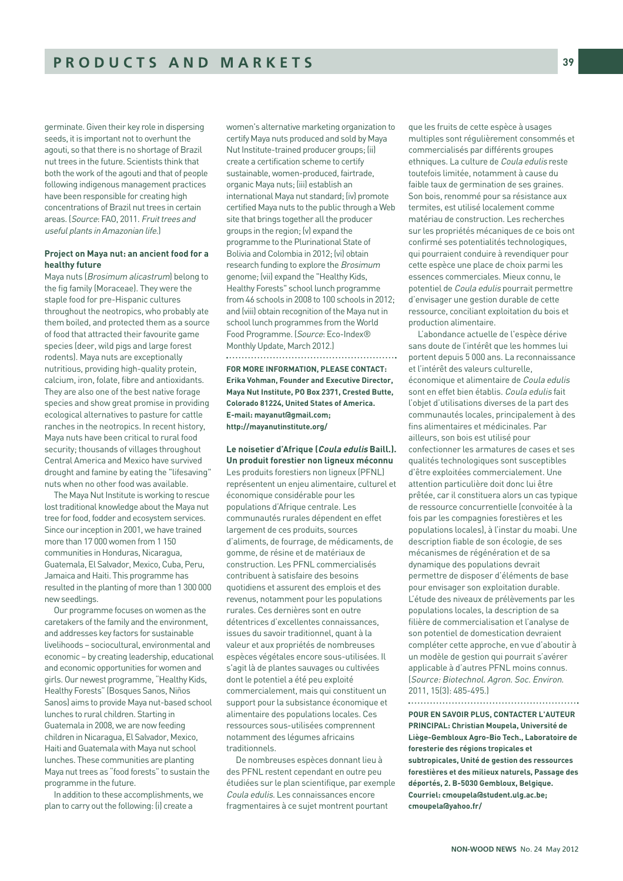germinate. Given their key role in dispersing seeds, it is important not to overhunt the agouti, so that there is no shortage of Brazil nut trees in the future. Scientists think that both the work of the agouti and that of people following indigenous management practices have been responsible for creating high concentrations of Brazil nut trees in certain areas. (Source: FAO, 2011. Fruit trees and useful plants in Amazonian life.)

# **Project on Maya nut: an ancient food for a healthy future**

Maya nuts (Brosimum alicastrum) belong to the fig family (Moraceae). They were the staple food for pre-Hispanic cultures throughout the neotropics, who probably ate them boiled, and protected them as a source of food that attracted their favourite game species (deer, wild pigs and large forest rodents). Maya nuts are exceptionally nutritious, providing high-quality protein, calcium, iron, folate, fibre and antioxidants. They are also one of the best native forage species and show great promise in providing ecological alternatives to pasture for cattle ranches in the neotropics. In recent history, Maya nuts have been critical to rural food security; thousands of villages throughout Central America and Mexico have survived drought and famine by eating the "lifesaving" nuts when no other food was available.

The Maya Nut Institute is working to rescue lost traditional knowledge about the Maya nut tree for food, fodder and ecosystem services. Since our inception in 2001, we have trained more than 17 000 women from 1 150 communities in Honduras, Nicaragua, Guatemala, El Salvador, Mexico, Cuba, Peru, Jamaica and Haiti. This programme has resulted in the planting of more than 1 300 000 new seedlings.

Our programme focuses on women as the caretakers of the family and the environment, and addresses key factors for sustainable livelihoods – sociocultural, environmental and economic – by creating leadership, educational and economic opportunities for women and girls. Our newest programme, "Healthy Kids, Healthy Forests" (Bosques Sanos, Niños Sanos) aims to provide Maya nut-based school lunches to rural children. Starting in Guatemala in 2008, we are now feeding children in Nicaragua, El Salvador, Mexico, Haiti and Guatemala with Maya nut school lunches. These communities are planting Maya nut trees as "food forests" to sustain the programme in the future.

In addition to these accomplishments, we plan to carry out the following: (i) create a

women's alternative marketing organization to certify Maya nuts produced and sold by Maya Nut Institute-trained producer groups; (ii) create a certification scheme to certify sustainable, women-produced, fairtrade, organic Maya nuts; (iii) establish an international Maya nut standard; (iv) promote certified Maya nuts to the public through a Web site that brings together all the producer groups in the region; (v) expand the programme to the Plurinational State of Bolivia and Colombia in 2012; (vi) obtain research funding to explore the Brosimum genome; (vii) expand the "Healthy Kids, Healthy Forests" school lunch programme from 46 schools in 2008 to 100 schools in 2012; and (viii) obtain recognition of the Maya nut in school lunch programmes from the World Food Programme. (Source: Eco-Index® Monthly Update, March 2012.) 

**FOR MORE INFORMATION, PLEASE CONTACT: Erika Vohman, Founder and Executive Director, Maya Nut Institute, PO Box 2371, Crested Butte, Colorado 81224, United States of America. E-mail: mayanut@gmail.com; http://mayanutinstitute.org/** 

# **Le noisetier d'Afrique (Coula edulis Baill.). Un produit forestier non ligneux méconnu**

Les produits forestiers non ligneux (PFNL) représentent un enjeu alimentaire, culturel et économique considérable pour les populations d'Afrique centrale. Les communautés rurales dépendent en effet largement de ces produits, sources d'aliments, de fourrage, de médicaments, de gomme, de résine et de matériaux de construction. Les PFNL commercialisés contribuent à satisfaire des besoins quotidiens et assurent des emplois et des revenus, notamment pour les populations rurales. Ces dernières sont en outre détentrices d'excellentes connaissances, issues du savoir traditionnel, quant à la valeur et aux propriétés de nombreuses espèces végétales encore sous-utilisées. Il s'agit là de plantes sauvages ou cultivées dont le potentiel a été peu exploité commercialement, mais qui constituent un support pour la subsistance économique et alimentaire des populations locales. Ces ressources sous-utilisées comprennent notamment des légumes africains traditionnels.

De nombreuses espèces donnant lieu à des PFNL restent cependant en outre peu étudiées sur le plan scientifique, par exemple Coula edulis. Les connaissances encore fragmentaires à ce sujet montrent pourtant

que les fruits de cette espèce à usages multiples sont régulièrement consommés et commercialisés par différents groupes ethniques. La culture de Coula edulis reste toutefois limitée, notamment à cause du faible taux de germination de ses graines. Son bois, renommé pour sa résistance aux termites, est utilisé localement comme matériau de construction. Les recherches sur les propriétés mécaniques de ce bois ont confirmé ses potentialités technologiques, qui pourraient conduire à revendiquer pour cette espèce une place de choix parmi les essences commerciales. Mieux connu, le potentiel de Coula edulis pourrait permettre d'envisager une gestion durable de cette ressource, conciliant exploitation du bois et production alimentaire.

L'abondance actuelle de l'espèce dérive sans doute de l'intérêt que les hommes lui portent depuis 5 000 ans. La reconnaissance et l'intérêt des valeurs culturelle, économique et alimentaire de Coula edulis sont en effet bien établis. Coula edulis fait l'objet d'utilisations diverses de la part des communautés locales, principalement à des fins alimentaires et médicinales. Par ailleurs, son bois est utilisé pour confectionner les armatures de cases et ses qualités technologiques sont susceptibles d'être exploitées commercialement. Une attention particulière doit donc lui être prêtée, car il constituera alors un cas typique de ressource concurrentielle (convoitée à la fois par les compagnies forestières et les populations locales), à l'instar du moabi. Une description fiable de son écologie, de ses mécanismes de régénération et de sa dynamique des populations devrait permettre de disposer d'éléments de base pour envisager son exploitation durable. L'étude des niveaux de prélèvements par les populations locales, la description de sa filière de commercialisation et l'analyse de son potentiel de domestication devraient compléter cette approche, en vue d'aboutir à un modèle de gestion qui pourrait s'avérer applicable à d'autres PFNL moins connus. (Source: Biotechnol. Agron. Soc. Environ. 2011, 15(3): 485-495.)

**POUR EN SAVOIR PLUS, CONTACTER L'AUTEUR**

**PRINCIPAL: Christian Moupela, Université de Liège-Gembloux Agro-Bio Tech., Laboratoire de foresterie des régions tropicales et subtropicales, Unité de gestion des ressources forestières et des milieux naturels, Passage des déportés, 2. B-5030 Gembloux, Belgique. Courriel: cmoupela@student.ulg.ac.be; cmoupela@yahoo.fr/**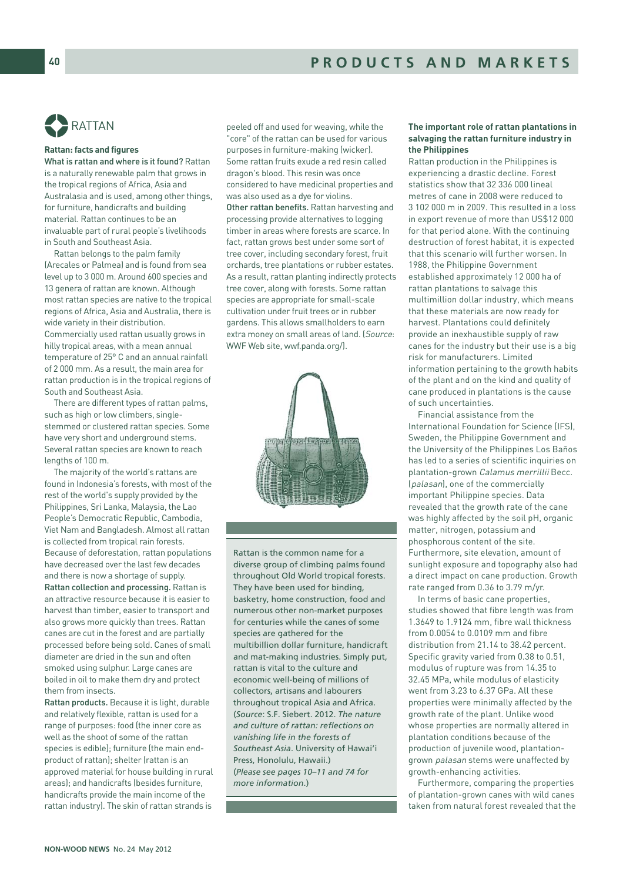

# **Rattan: facts and figures**

What is rattan and where is it found? Rattan is a naturally renewable palm that grows in the tropical regions of Africa, Asia and Australasia and is used, among other things, for furniture, handicrafts and building material. Rattan continues to be an invaluable part of rural people's livelihoods in South and Southeast Asia.

Rattan belongs to the palm family (Arecales or Palmea) and is found from sea level up to 3 000 m. Around 600 species and 13 genera of rattan are known. Although most rattan species are native to the tropical regions of Africa, Asia and Australia, there is wide variety in their distribution. Commercially used rattan usually grows in hilly tropical areas, with a mean annual temperature of 25° C and an annual rainfall of 2 000 mm. As a result, the main area for rattan production is in the tropical regions of South and Southeast Asia.

There are different types of rattan palms, such as high or low climbers, singlestemmed or clustered rattan species. Some have very short and underground stems. Several rattan species are known to reach lengths of 100 m.

The majority of the world's rattans are found in Indonesia's forests, with most of the rest of the world's supply provided by the Philippines, Sri Lanka, Malaysia, the Lao People's Democratic Republic, Cambodia, Viet Nam and Bangladesh. Almost all rattan is collected from tropical rain forests. Because of deforestation, rattan populations have decreased over the last few decades and there is now a shortage of supply. Rattan collection and processing. Rattan is an attractive resource because it is easier to harvest than timber, easier to transport and also grows more quickly than trees. Rattan canes are cut in the forest and are partially processed before being sold. Canes of small diameter are dried in the sun and often smoked using sulphur. Large canes are boiled in oil to make them dry and protect them from insects.

Rattan products. Because it is light, durable and relatively flexible, rattan is used for a range of purposes: food (the inner core as well as the shoot of some of the rattan species is edible); furniture (the main endproduct of rattan); shelter (rattan is an approved material for house building in rural areas); and handicrafts (besides furniture, handicrafts provide the main income of the rattan industry). The skin of rattan strands is

peeled off and used for weaving, while the "core" of the rattan can be used for various purposes in furniture-making (wicker). Some rattan fruits exude a red resin called dragon's blood. This resin was once considered to have medicinal properties and was also used as a dye for violins. Other rattan benefits. Rattan harvesting and processing provide alternatives to logging timber in areas where forests are scarce. In fact, rattan grows best under some sort of tree cover, including secondary forest, fruit orchards, tree plantations or rubber estates. As a result, rattan planting indirectly protects tree cover, along with forests. Some rattan species are appropriate for small-scale cultivation under fruit trees or in rubber gardens. This allows smallholders to earn extra money on small areas of land. (Source: WWF Web site, wwf.panda.org/).



Rattan is the common name for a diverse group of climbing palms found throughout Old World tropical forests. They have been used for binding, basketry, home construction, food and numerous other non-market purposes for centuries while the canes of some species are gathered for the multibillion dollar furniture, handicraft and mat-making industries. Simply put, rattan is vital to the culture and economic well-being of millions of collectors, artisans and labourers throughout tropical Asia and Africa. (*Source*: S.F. Siebert. 2012. *The nature and culture of rattan: reflections on vanishing life in the forests of Southeast Asia*. University of Hawai'i Press, Honolulu, Hawaii.) (*Please see pages 10–11 and 74 for more information*.)

# **The important role of rattan plantations in salvaging the rattan furniture industry in the Philippines**

Rattan production in the Philippines is experiencing a drastic decline. Forest statistics show that 32 336 000 lineal metres of cane in 2008 were reduced to 3 102 000 m in 2009. This resulted in a loss in export revenue of more than US\$12 000 for that period alone. With the continuing destruction of forest habitat, it is expected that this scenario will further worsen. In 1988, the Philippine Government established approximately 12 000 ha of rattan plantations to salvage this multimillion dollar industry, which means that these materials are now ready for harvest. Plantations could definitely provide an inexhaustible supply of raw canes for the industry but their use is a big risk for manufacturers. Limited information pertaining to the growth habits of the plant and on the kind and quality of cane produced in plantations is the cause of such uncertainties.

Financial assistance from the International Foundation for Science (IFS), Sweden, the Philippine Government and the University of the Philippines Los Baños has led to a series of scientific inquiries on plantation-grown Calamus merrillii Becc. (palasan), one of the commercially important Philippine species. Data revealed that the growth rate of the cane was highly affected by the soil pH, organic matter, nitrogen, potassium and phosphorous content of the site. Furthermore, site elevation, amount of sunlight exposure and topography also had a direct impact on cane production. Growth rate ranged from 0.36 to 3.79 m/yr.

In terms of basic cane properties, studies showed that fibre length was from 1.3649 to 1.9124 mm, fibre wall thickness from 0.005/<sub>10.0</sub>0109 mm and fibre distribution from 21.14 to 38.42 percent. Specific gravity varied from 0.38 to 0.51, modulus of rupture was from 14.35 to 32.45 MPa, while modulus of elasticity went from 3.23 to 6.37 GPa. All these properties were minimally affected by the growth rate of the plant. Unlike wood whose properties are normally altered in plantation conditions because of the production of juvenile wood, plantationgrown palasan stems were unaffected by growth-enhancing activities.

Furthermore, comparing the properties of plantation-grown canes with wild canes taken from natural forest revealed that the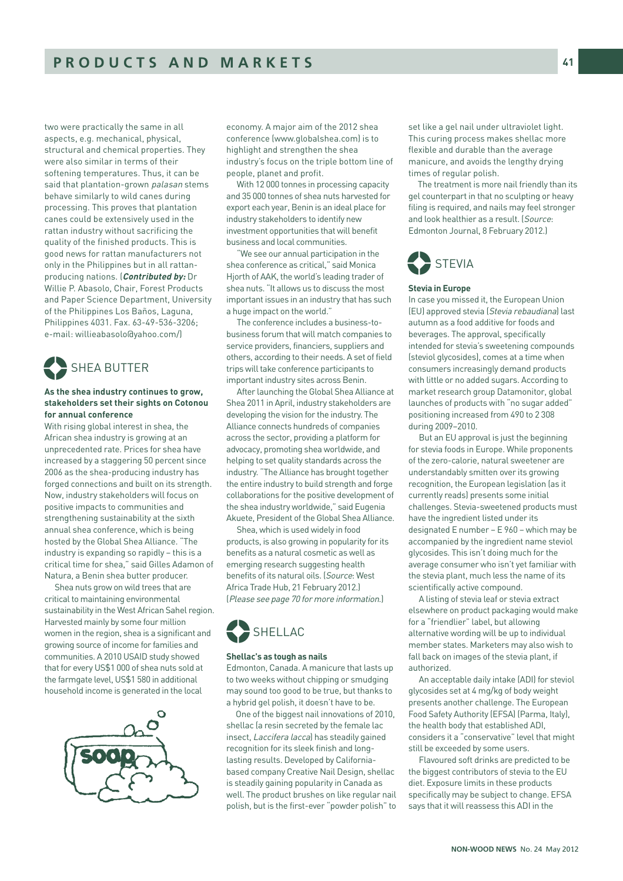two were practically the same in all aspects, e.g. mechanical, physical, structural and chemical properties. They were also similar in terms of their softening temperatures. Thus, it can be said that plantation-grown palasan stems behave similarly to wild canes during processing. This proves that plantation canes could be extensively used in the rattan industry without sacrificing the quality of the finished products. This is good news for rattan manufacturers not only in the Philippines but in all rattanproducing nations. (**Contributed by:** Dr Willie P. Abasolo, Chair, Forest Products and Paper Science Department, University of the Philippines Los Baños, Laguna, Philippines 4031. Fax. 63-49-536-3206; e-mail: willieabasolo@yahoo.com/)



# **As the shea industry continues to grow, stakeholders set their sights on Cotonou for annual conference**

With rising global interest in shea, the African shea industry is growing at an unprecedented rate. Prices for shea have increased by a staggering 50 percent since 2006 as the shea-producing industry has forged connections and built on its strength. Now, industry stakeholders will focus on positive impacts to communities and strengthening sustainability at the sixth annual shea conference, which is being hosted by the Global Shea Alliance. "The industry is expanding so rapidly – this is a critical time for shea," said Gilles Adamon of Natura, a Benin shea butter producer.

Shea nuts grow on wild trees that are critical to maintaining environmental sustainability in the West African Sahel region. Harvested mainly by some four million women in the region, shea is a significant and growing source of income for families and communities. A 2010 USAID study showed that for every US\$1 000 of shea nuts sold at the farmgate level, US\$1 580 in additional household income is generated in the local



economy. A major aim of the 2012 shea conference (www.globalshea.com) is to highlight and strengthen the shea industry's focus on the triple bottom line of people, planet and profit.

With 12 000 tonnes in processing capacity and 35 000 tonnes of shea nuts harvested for export each year, Benin is an ideal place for industry stakeholders to identify new investment opportunities that will benefit business and local communities.

"We see our annual participation in the shea conference as critical," said Monica Hjorth of AAK, the world's leading trader of shea nuts. "It allows us to discuss the most important issues in an industry that has such a huge impact on the world."

The conference includes a business-tobusiness forum that will match companies to service providers, financiers, suppliers and others, according to their needs. A set of field trips will take conference participants to important industry sites across Benin.

After launching the Global Shea Alliance at Shea 2011 in April, industry stakeholders are developing the vision for the industry. The Alliance connects hundreds of companies across the sector, providing a platform for advocacy, promoting shea worldwide, and helping to set quality standards across the industry. "The Alliance has brought together the entire industry to build strength and forge collaborations for the positive development of the shea industry worldwide," said Eugenia Akuete, President of the Global Shea Alliance.

Shea, which is used widely in food products, is also growing in popularity for its benefits as a natural cosmetic as well as emerging research suggesting health benefits of its natural oils. (Source: West Africa Trade Hub, 21 February 2012.) (Please see page 70 for more information.)



# **Shellac's as tough as nails**

Edmonton, Canada. A manicure that lasts up to two weeks without chipping or smudging may sound too good to be true, but thanks to a hybrid gel polish, it doesn't have to be.

One of the biggest nail innovations of 2010, shellac (a resin secreted by the female lac insect, Laccifera lacca) has steadily gained recognition for its sleek finish and longlasting results. Developed by Californiabased company Creative Nail Design, shellac is steadily gaining popularity in Canada as well. The product brushes on like regular nail polish, but is the first-ever "powder polish" to set like a gel nail under ultraviolet light. This curing process makes shellac more flexible and durable than the average manicure, and avoids the lengthy drying times of regular polish.

The treatment is more nail friendly than its gel counterpart in that no sculpting or heavy filing is required, and nails may feel stronger and look healthier as a result. (Source: Edmonton Journal, 8 February 2012.)



#### **Stevia in Europe**

In case you missed it, the European Union (EU) approved stevia (Stevia rebaudiana) last autumn as a food additive for foods and beverages. The approval, specifically intended for stevia's sweetening compounds (steviol glycosides), comes at a time when consumers increasingly demand products with little or no added sugars. According to market research group Datamonitor, global launches of products with "no sugar added" positioning increased from 490 to 2 308 during 2009–2010.

But an EU approval is just the beginning for stevia foods in Europe. While proponents of the zero-calorie, natural sweetener are understandably smitten over its growing recognition, the European legislation (as it currently reads) presents some initial challenges. Stevia-sweetened products must have the ingredient listed under its designated E number – E 960 – which may be accompanied by the ingredient name steviol glycosides. This isn't doing much for the average consumer who isn't yet familiar with the stevia plant, much less the name of its scientifically active compound.

A listing of stevia leaf or stevia extract elsewhere on product packaging would make for a "friendlier" label, but allowing alternative wording will be up to individual member states. Marketers may also wish to fall back on images of the stevia plant, if authorized.

An acceptable daily intake (ADI) for steviol glycosides set at 4 mg/kg of body weight presents another challenge. The European Food Safety Authority (EFSA) (Parma, Italy), the health body that established ADI, considers it a "conservative" level that might still be exceeded by some users.

Flavoured soft drinks are predicted to be the biggest contributors of stevia to the EU diet. Exposure limits in these products specifically may be subject to change. EFSA says that it will reassess this ADI in the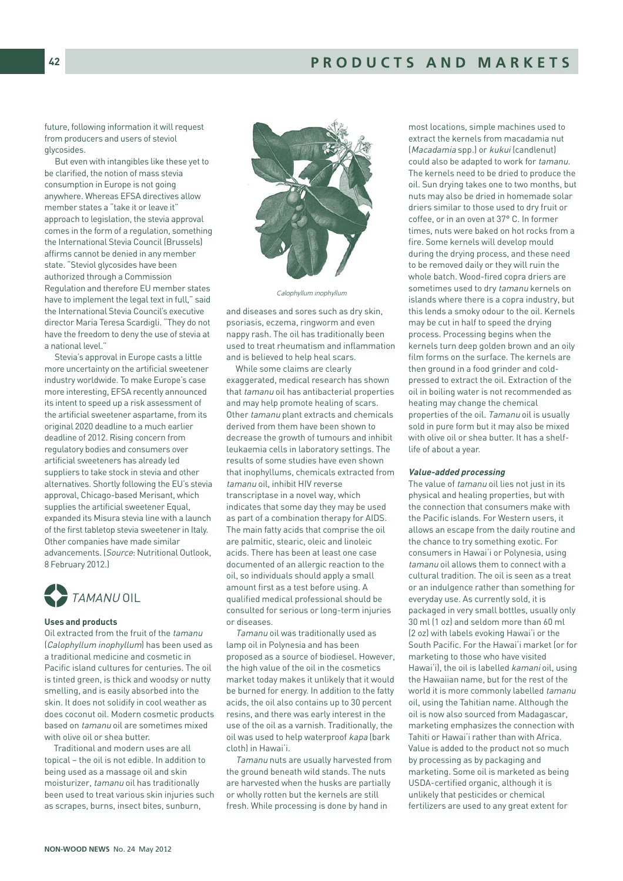future, following information it will request from producers and users of steviol glycosides.

But even with intangibles like these yet to be clarified, the notion of mass stevia consumption in Europe is not going anywhere. Whereas EFSA directives allow member states a "take it or leave it" approach to legislation, the stevia approval comes in the form of a regulation, something the International Stevia Council (Brussels) affirms cannot be denied in any member state. "Steviol glycosides have been authorized through a Commission Regulation and therefore EU member states have to implement the legal text in full," said the International Stevia Council's executive director Maria Teresa Scardigli. "They do not have the freedom to deny the use of stevia at a national level."

Stevia's approval in Europe casts a little more uncertainty on the artificial sweetener industry worldwide. To make Europe's case more interesting, EFSA recently announced its intent to speed up a risk assessment of the artificial sweetener aspartame, from its original 2020 deadline to a much earlier deadline of 2012. Rising concern from regulatory bodies and consumers over artificial sweeteners has already led suppliers to take stock in stevia and other alternatives. Shortly following the EU's stevia approval, Chicago-based Merisant, which supplies the artificial sweetener Equal, expanded its Misura stevia line with a launch of the first tabletop stevia sweetener in Italy. Other companies have made similar advancements. (Source: Nutritional Outlook, 8 February 2012.)



#### **Uses and products**

Oil extracted from the fruit of the tamanu (Calophyllum inophyllum) has been used as a traditional medicine and cosmetic in Pacific island cultures for centuries. The oil is tinted green, is thick and woodsy or nutty smelling, and is easily absorbed into the skin. It does not solidify in cool weather as does coconut oil. Modern cosmetic products based on tamanu oil are sometimes mixed with olive oil or shea butter.

Traditional and modern uses are all topical – the oil is not edible. In addition to being used as a massage oil and skin moisturizer, tamanu oil has traditionally been used to treat various skin injuries such as scrapes, burns, insect bites, sunburn,



Calophyllum inophyllum

and diseases and sores such as dry skin, psoriasis, eczema, ringworm and even nappy rash. The oil has traditionally been used to treat rheumatism and inflammation and is believed to help heal scars.

While some claims are clearly exaggerated, medical research has shown that tamanu oil has antibacterial properties and may help promote healing of scars. Other tamanu plant extracts and chemicals derived from them have been shown to decrease the growth of tumours and inhibit leukaemia cells in laboratory settings. The results of some studies have even shown that inophyllums, chemicals extracted from tamanu oil, inhibit HIV reverse transcriptase in a novel way, which indicates that some day they may be used as part of a combination therapy for AIDS. The main fatty acids that comprise the oil are palmitic, stearic, oleic and linoleic acids. There has been at least one case documented of an allergic reaction to the oil, so individuals should apply a small amount first as a test before using. A qualified medical professional should be consulted for serious or long-term injuries or diseases.

Tamanu oil was traditionally used as lamp oil in Polynesia and has been proposed as a source of biodiesel. However, the high value of the oil in the cosmetics market today makes it unlikely that it would be burned for energy. In addition to the fatty acids, the oil also contains up to 30 percent resins, and there was early interest in the use of the oil as a varnish. Traditionally, the oil was used to help waterproof kapa (bark cloth) in Hawai'i.

Tamanu nuts are usually harvested from the ground beneath wild stands. The nuts are harvested when the husks are partially or wholly rotten but the kernels are still fresh. While processing is done by hand in

most locations, simple machines used to extract the kernels from macadamia nut (Macadamia spp.) or kukui (candlenut) could also be adapted to work for tamanu. The kernels need to be dried to produce the oil. Sun drying takes one to two months, but nuts may also be dried in homemade solar driers similar to those used to dry fruit or coffee, or in an oven at 37° C. In former times, nuts were baked on hot rocks from a fire. Some kernels will develop mould during the drying process, and these need to be removed daily or they will ruin the whole batch. Wood-fired copra driers are sometimes used to dry *tamanu* kernels on islands where there is a copra industry, but this lends a smoky odour to the oil. Kernels may be cut in half to speed the drying process. Processing begins when the kernels turn deep golden brown and an oily film forms on the surface. The kernels are then ground in a food grinder and coldpressed to extract the oil. Extraction of the oil in boiling water is not recommended as heating may change the chemical properties of the oil. Tamanu oil is usually sold in pure form but it may also be mixed with olive oil or shea butter. It has a shelflife of about a year.

#### **Value-added processing**

The value of tamanu oil lies not just in its physical and healing properties, but with the connection that consumers make with the Pacific islands. For Western users, it allows an escape from the daily routine and the chance to try something exotic. For consumers in Hawai'i or Polynesia, using tamanu oil allows them to connect with a cultural tradition. The oil is seen as a treat or an indulgence rather than something for everyday use. As currently sold, it is packaged in very small bottles, usually only 30 ml (1 oz) and seldom more than 60 ml (2 oz) with labels evoking Hawai'i or the South Pacific. For the Hawai'i market (or for marketing to those who have visited Hawai'i), the oil is labelled kamani oil, using the Hawaiian name, but for the rest of the world it is more commonly labelled tamanu oil, using the Tahitian name. Although the oil is now also sourced from Madagascar, marketing emphasizes the connection with Tahiti or Hawai'i rather than with Africa. Value is added to the product not so much by processing as by packaging and marketing. Some oil is marketed as being USDA-certified organic, although it is unlikely that pesticides or chemical fertilizers are used to any great extent for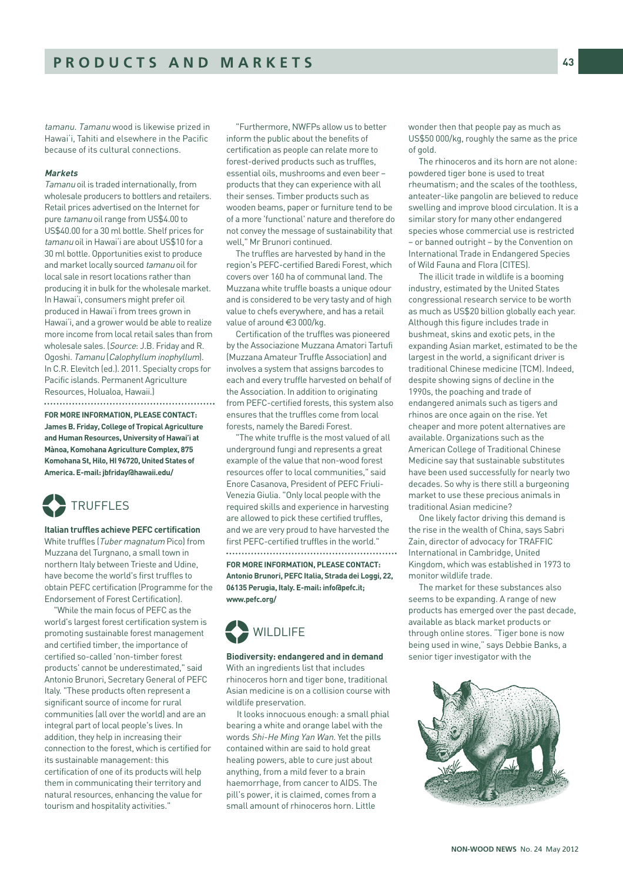tamanu. Tamanu wood is likewise prized in Hawai'i, Tahiti and elsewhere in the Pacific because of its cultural connections.

#### **Markets**

Tamanu oil is traded internationally, from wholesale producers to bottlers and retailers. Retail prices advertised on the Internet for pure tamanu oil range from US\$4.00 to US\$40.00 for a 30 ml bottle. Shelf prices for tamanu oil in Hawai'i are about US\$10 for a 30 ml bottle. Opportunities exist to produce and market locally sourced tamanu oil for local sale in resort locations rather than producing it in bulk for the wholesale market. In Hawai'i, consumers might prefer oil produced in Hawai'i from trees grown in Hawai'i, and a grower would be able to realize more income from local retail sales than from wholesale sales. (Source: J.B. Friday and R. Ogoshi. Tamanu (Calophyllum inophyllum). In C.R. Elevitch (ed.). 2011. Specialty crops for Pacific islands. Permanent Agriculture Resources, Holualoa, Hawaii.)

**FOR MORE INFORMATION, PLEASE CONTACT: James B. Friday, College of Tropical Agriculture and Human Resources, University of Hawai'i at Mànoa, Komohana Agriculture Complex, 875 Komohana St, Hilo, HI 96720, United States of America. E-mail: jbfriday@hawaii.edu/**



**Italian truffles achieve PEFC certification**  White truffles (Tuber magnatum Pico) from Muzzana del Turgnano, a small town in northern Italy between Trieste and Udine, have become the world's first truffles to obtain PEFC certification (Programme for the Endorsement of Forest Certification).

"While the main focus of PEFC as the world's largest forest certification system is promoting sustainable forest management and certified timber, the importance of certified so-called 'non-timber forest products' cannot be underestimated," said Antonio Brunori, Secretary General of PEFC Italy. "These products often represent a significant source of income for rural communities (all over the world) and are an integral part of local people's lives. In addition, they help in increasing their connection to the forest, which is certified for its sustainable management: this certification of one of its products will help them in communicating their territory and natural resources, enhancing the value for tourism and hospitality activities."

"Furthermore, NWFPs allow us to better inform the public about the benefits of certification as people can relate more to forest-derived products such as truffles, essential oils, mushrooms and even beer – products that they can experience with all their senses. Timber products such as wooden beams, paper or furniture tend to be of a more 'functional' nature and therefore do not convey the message of sustainability that well," Mr Brunori continued.

The truffles are harvested by hand in the region's PEFC-certified Baredi Forest, which covers over 160 ha of communal land. The Muzzana white truffle boasts a unique odour and is considered to be very tasty and of high value to chefs everywhere, and has a retail value of around €3 000/kg.

Certification of the truffles was pioneered by the Associazione Muzzana Amatori Tartufi (Muzzana Amateur Truffle Association) and involves a system that assigns barcodes to each and every truffle harvested on behalf of the Association. In addition to originating from PEFC-certified forests, this system also ensures that the truffles come from local forests, namely the Baredi Forest.

"The white truffle is the most valued of all underground fungi and represents a great example of the value that non-wood forest resources offer to local communities," said Enore Casanova, President of PEFC Friuli-Venezia Giulia. "Only local people with the required skills and experience in harvesting are allowed to pick these certified truffles, and we are very proud to have harvested the first PEFC-certified truffles in the world." 

**FOR MORE INFORMATION, PLEASE CONTACT: Antonio Brunori, PEFC Italia, Strada dei Loggi, 22, 06135 Perugia, Italy. E-mail: info@pefc.it; www.pefc.org/**



**Biodiversity: endangered and in demand**  With an ingredients list that includes rhinoceros horn and tiger bone, traditional Asian medicine is on a collision course with wildlife preservation.

It looks innocuous enough: a small phial bearing a white and orange label with the words Shi-He Ming Yan Wan. Yet the pills contained within are said to hold great healing powers, able to cure just about anything, from a mild fever to a brain haemorrhage, from cancer to AIDS. The pill's power, it is claimed, comes from a small amount of rhinoceros horn. Little

wonder then that people pay as much as US\$50 000/kg, roughly the same as the price of gold.

The rhinoceros and its horn are not alone: powdered tiger bone is used to treat rheumatism; and the scales of the toothless, anteater-like pangolin are believed to reduce swelling and improve blood circulation. It is a similar story for many other endangered species whose commercial use is restricted – or banned outright – by the Convention on International Trade in Endangered Species of Wild Fauna and Flora (CITES).

The illicit trade in wildlife is a booming industry, estimated by the United States congressional research service to be worth as much as US\$20 billion globally each year. Although this figure includes trade in bushmeat, skins and exotic pets, in the expanding Asian market, estimated to be the largest in the world, a significant driver is traditional Chinese medicine (TCM). Indeed, despite showing signs of decline in the 1990s, the poaching and trade of endangered animals such as tigers and rhinos are once again on the rise. Yet cheaper and more potent alternatives are available. Organizations such as the American College of Traditional Chinese Medicine say that sustainable substitutes have been used successfully for nearly two decades. So why is there still a burgeoning market to use these precious animals in traditional Asian medicine?

One likely factor driving this demand is the rise in the wealth of China, says Sabri Zain, director of advocacy for TRAFFIC International in Cambridge, United Kingdom, which was established in 1973 to monitor wildlife trade.

The market for these substances also seems to be expanding. A range of new products has emerged over the past decade, available as black market products or through online stores. "Tiger bone is now being used in wine," says Debbie Banks, a senior tiger investigator with the